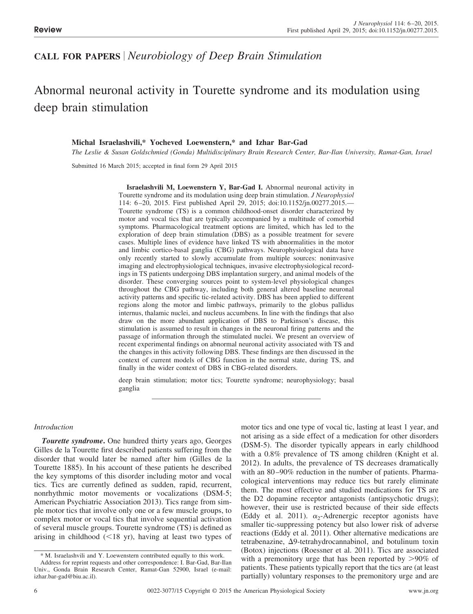## **CALL FOR PAPERS** *Neurobiology of Deep Brain Stimulation*

# Abnormal neuronal activity in Tourette syndrome and its modulation using deep brain stimulation

## **Michal Israelashvili,\* Yocheved Loewenstern,\* and Izhar Bar-Gad**

*The Leslie & Susan Goldschmied (Gonda) Multidisciplinary Brain Research Center, Bar-Ilan University, Ramat-Gan, Israel*

Submitted 16 March 2015; accepted in final form 29 April 2015

**Israelashvili M, Loewenstern Y, Bar-Gad I.** Abnormal neuronal activity in Tourette syndrome and its modulation using deep brain stimulation. *J Neurophysiol* 114: 6 –20, 2015. First published April 29, 2015; doi:10.1152/jn.00277.2015.— Tourette syndrome (TS) is a common childhood-onset disorder characterized by motor and vocal tics that are typically accompanied by a multitude of comorbid symptoms. Pharmacological treatment options are limited, which has led to the exploration of deep brain stimulation (DBS) as a possible treatment for severe cases. Multiple lines of evidence have linked TS with abnormalities in the motor and limbic cortico-basal ganglia (CBG) pathways. Neurophysiological data have only recently started to slowly accumulate from multiple sources: noninvasive imaging and electrophysiological techniques, invasive electrophysiological recordings in TS patients undergoing DBS implantation surgery, and animal models of the disorder. These converging sources point to system-level physiological changes throughout the CBG pathway, including both general altered baseline neuronal activity patterns and specific tic-related activity. DBS has been applied to different regions along the motor and limbic pathways, primarily to the globus pallidus internus, thalamic nuclei, and nucleus accumbens. In line with the findings that also draw on the more abundant application of DBS to Parkinson's disease, this stimulation is assumed to result in changes in the neuronal firing patterns and the passage of information through the stimulated nuclei. We present an overview of recent experimental findings on abnormal neuronal activity associated with TS and the changes in this activity following DBS. These findings are then discussed in the context of current models of CBG function in the normal state, during TS, and finally in the wider context of DBS in CBG-related disorders.

deep brain stimulation; motor tics; Tourette syndrome; neurophysiology; basal ganglia

## *Introduction*

*Tourette syndrome***.** One hundred thirty years ago, Georges Gilles de la Tourette first described patients suffering from the disorder that would later be named after him (Gilles de la Tourette 1885). In his account of these patients he described the key symptoms of this disorder including motor and vocal tics. Tics are currently defined as sudden, rapid, recurrent, nonrhythmic motor movements or vocalizations (DSM-5; American Psychiatric Association 2013). Tics range from simple motor tics that involve only one or a few muscle groups, to complex motor or vocal tics that involve sequential activation of several muscle groups. Tourette syndrome (TS) is defined as arising in childhood  $(< 18$  yr), having at least two types of

motor tics and one type of vocal tic, lasting at least 1 year, and not arising as a side effect of a medication for other disorders (DSM-5). The disorder typically appears in early childhood with a  $0.8\%$  prevalence of TS among children (Knight et al. 2012). In adults, the prevalence of TS decreases dramatically with an 80–90% reduction in the number of patients. Pharmacological interventions may reduce tics but rarely eliminate them. The most effective and studied medications for TS are the D2 dopamine receptor antagonists (antipsychotic drugs); however, their use is restricted because of their side effects (Eddy et al. 2011).  $\alpha_2$ -Adrenergic receptor agonists have smaller tic-suppressing potency but also lower risk of adverse reactions (Eddy et al. 2011). Other alternative medications are tetrabenazine,  $\Delta$ 9-tetrahydrocannabinol, and botulinum toxin (Botox) injections (Roessner et al. 2011). Tics are associated with a premonitory urge that has been reported by  $>90\%$  of patients. These patients typically report that the tics are (at least partially) voluntary responses to the premonitory urge and are

<sup>\*</sup> M. Israelashvili and Y. Loewenstern contributed equally to this work. Address for reprint requests and other correspondence: I. Bar-Gad, Bar-Ilan Univ., Gonda Brain Research Center, Ramat-Gan 52900, Israel (e-mail: [izhar.bar-gad@biu.ac.il\)](mailto:izhar.bar-gad@biu.ac.il).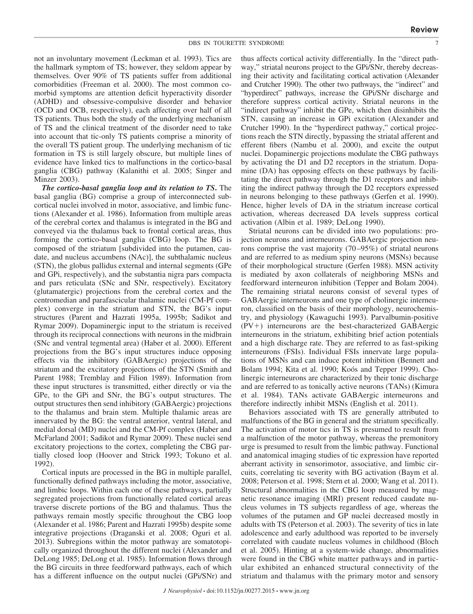not an involuntary movement (Leckman et al. 1993). Tics are the hallmark symptom of TS; however, they seldom appear by themselves. Over 90% of TS patients suffer from additional comorbidities (Freeman et al. 2000). The most common comorbid symptoms are attention deficit hyperactivity disorder (ADHD) and obsessive-compulsive disorder and behavior (OCD and OCB, respectively), each affecting over half of all TS patients. Thus both the study of the underlying mechanism of TS and the clinical treatment of the disorder need to take into account that tic-only TS patients comprise a minority of the overall TS patient group. The underlying mechanism of tic formation in TS is still largely obscure, but multiple lines of evidence have linked tics to malfunctions in the cortico-basal ganglia (CBG) pathway (Kalanithi et al. 2005; Singer and

Minzer 2003). *The cortico-basal ganglia loop and its relation to TS***.** The basal ganglia (BG) comprise a group of interconnected subcortical nuclei involved in motor, associative, and limbic functions (Alexander et al. 1986). Information from multiple areas of the cerebral cortex and thalamus is integrated in the BG and conveyed via the thalamus back to frontal cortical areas, thus forming the cortico-basal ganglia (CBG) loop. The BG is composed of the striatum [subdivided into the putamen, caudate, and nucleus accumbens (NAc)], the subthalamic nucleus (STN), the globus pallidus external and internal segments (GPe and GPi, respectively), and the substantia nigra pars compacta and pars reticulata (SNc and SNr, respectively). Excitatory (glutamatergic) projections from the cerebral cortex and the centromedian and parafascicular thalamic nuclei (CM-Pf complex) converge in the striatum and STN, the BG's input structures (Parent and Hazrati 1995a, 1995b; Sadikot and Rymar 2009). Dopaminergic input to the striatum is received through its reciprocal connections with neurons in the midbrain (SNc and ventral tegmental area) (Haber et al. 2000). Efferent projections from the BG's input structures induce opposing effects via the inhibitory (GABAergic) projections of the striatum and the excitatory projections of the STN (Smith and Parent 1988; Tremblay and Filion 1989). Information from these input structures is transmitted, either directly or via the GPe, to the GPi and SNr, the BG's output structures. The output structures then send inhibitory (GABAergic) projections to the thalamus and brain stem. Multiple thalamic areas are innervated by the BG: the ventral anterior, ventral lateral, and medial dorsal (MD) nuclei and the CM-Pf complex (Haber and McFarland 2001; Sadikot and Rymar 2009). These nuclei send excitatory projections to the cortex, completing the CBG partially closed loop (Hoover and Strick 1993; Tokuno et al. 1992).

Cortical inputs are processed in the BG in multiple parallel, functionally defined pathways including the motor, associative, and limbic loops. Within each one of these pathways, partially segregated projections from functionally related cortical areas traverse discrete portions of the BG and thalamus. Thus the pathways remain mostly specific throughout the CBG loop (Alexander et al. 1986; Parent and Hazrati 1995b) despite some integrative projections (Draganski et al. 2008; Oguri et al. 2013). Subregions within the motor pathway are somatotopically organized throughout the different nuclei (Alexander and DeLong 1985; DeLong et al. 1985). Information flows through the BG circuits in three feedforward pathways, each of which has a different influence on the output nuclei (GPi/SNr) and thus affects cortical activity differentially. In the "direct pathway," striatal neurons project to the GPi/SNr, thereby decreasing their activity and facilitating cortical activation (Alexander and Crutcher 1990). The other two pathways, the "indirect" and "hyperdirect" pathways, increase the GPi/SNr discharge and therefore suppress cortical activity. Striatal neurons in the "indirect pathway" inhibit the GPe, which then disinhibits the STN, causing an increase in GPi excitation (Alexander and Crutcher 1990). In the "hyperdirect pathway," cortical projections reach the STN directly, bypassing the striatal afferent and efferent fibers (Nambu et al. 2000), and excite the output nuclei. Dopaminergic projections modulate the CBG pathways by activating the D1 and D2 receptors in the striatum. Dopamine (DA) has opposing effects on these pathways by facilitating the direct pathway through the D1 receptors and inhibiting the indirect pathway through the D2 receptors expressed in neurons belonging to these pathways (Gerfen et al. 1990). Hence, higher levels of DA in the striatum increase cortical activation, whereas decreased DA levels suppress cortical activation (Albin et al. 1989; DeLong 1990).

Striatal neurons can be divided into two populations: projection neurons and interneurons. GABAergic projection neurons comprise the vast majority (70 –95%) of striatal neurons and are referred to as medium spiny neurons (MSNs) because of their morphological structure (Gerfen 1988). MSN activity is mediated by axon collaterals of neighboring MSNs and feedforward interneuron inhibition (Tepper and Bolam 2004). The remaining striatal neurons consist of several types of GABAergic interneurons and one type of cholinergic interneuron, classified on the basis of their morphology, neurochemistry, and physiology (Kawaguchi 1993). Parvalbumin-positive  $(PV+)$  interneurons are the best-characterized GABAergic interneurons in the striatum, exhibiting brief action potentials and a high discharge rate. They are referred to as fast-spiking interneurons (FSIs). Individual FSIs innervate large populations of MSNs and can induce potent inhibition (Bennett and Bolam 1994; Kita et al. 1990; Koós and Tepper 1999). Cholinergic interneurons are characterized by their tonic discharge and are referred to as tonically active neurons (TANs) (Kimura et al. 1984). TANs activate GABAergic interneurons and therefore indirectly inhibit MSNs (English et al. 2011).

Behaviors associated with TS are generally attributed to malfunctions of the BG in general and the striatum specifically. The activation of motor tics in TS is presumed to result from a malfunction of the motor pathway, whereas the premonitory urge is presumed to result from the limbic pathway. Functional and anatomical imaging studies of tic expression have reported aberrant activity in sensorimotor, associative, and limbic circuits, correlating tic severity with BG activation (Baym et al. 2008; Peterson et al. 1998; Stern et al. 2000; Wang et al. 2011). Structural abnormalities in the CBG loop measured by magnetic resonance imaging (MRI) present reduced caudate nucleus volumes in TS subjects regardless of age, whereas the volumes of the putamen and GP nuclei decreased mostly in adults with TS (Peterson et al. 2003). The severity of tics in late adolescence and early adulthood was reported to be inversely correlated with caudate nucleus volumes in childhood (Bloch et al. 2005). Hinting at a system-wide change, abnormalities were found in the CBG white matter pathways and in particular exhibited an enhanced structural connectivity of the striatum and thalamus with the primary motor and sensory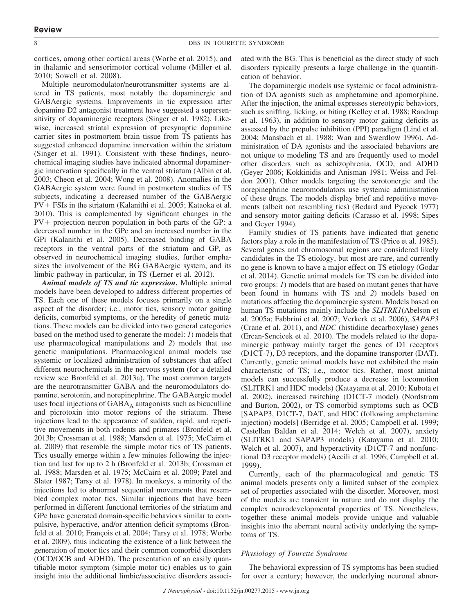cortices, among other cortical areas (Worbe et al. 2015), and in thalamic and sensorimotor cortical volume (Miller et al. 2010; Sowell et al. 2008).

Multiple neuromodulator/neurotransmitter systems are altered in TS patients, most notably the dopaminergic and GABAergic systems. Improvements in tic expression after dopamine D2 antagonist treatment have suggested a supersensitivity of dopaminergic receptors (Singer et al. 1982). Likewise, increased striatal expression of presynaptic dopamine carrier sites in postmortem brain tissue from TS patients has suggested enhanced dopamine innervation within the striatum (Singer et al. 1991). Consistent with these findings, neurochemical imaging studies have indicated abnormal dopaminergic innervation specifically in the ventral striatum (Albin et al. 2003; Cheon et al. 2004; Wong et al. 2008). Anomalies in the GABAergic system were found in postmortem studies of TS subjects, indicating a decreased number of the GABAergic PV + FSIs in the striatum (Kalanithi et al. 2005; Kataoka et al. 2010). This is complemented by significant changes in the  $PV$  projection neuron population in both parts of the GP: a decreased number in the GPe and an increased number in the GPi (Kalanithi et al. 2005). Decreased binding of GABA receptors in the ventral parts of the striatum and GP, as observed in neurochemical imaging studies, further emphasizes the involvement of the BG GABAergic system, and its limbic pathway in particular, in TS (Lerner et al. 2012).

*Animal models of TS and tic expression***.** Multiple animal models have been developed to address different properties of TS. Each one of these models focuses primarily on a single aspect of the disorder; i.e., motor tics, sensory motor gaiting deficits, comorbid symptoms, or the heredity of genetic mutations. These models can be divided into two general categories based on the method used to generate the model: *1*) models that use pharmacological manipulations and *2*) models that use genetic manipulations. Pharmacological animal models use systemic or localized administration of substances that affect different neurochemicals in the nervous system (for a detailed review see Bronfeld et al. 2013a). The most common targets are the neurotransmitter GABA and the neuromodulators dopamine, serotonin, and norepinephrine. The GABAergic model uses focal injections of  $GABA_A$  antagonists such as bicuculline and picrotoxin into motor regions of the striatum. These injections lead to the appearance of sudden, rapid, and repetitive movements in both rodents and primates (Bronfeld et al. 2013b; Crossman et al. 1988; Marsden et al. 1975; McCairn et al. 2009) that resemble the simple motor tics of TS patients. Tics usually emerge within a few minutes following the injection and last for up to 2 h (Bronfeld et al. 2013b; Crossman et al. 1988; Marsden et al. 1975; McCairn et al. 2009; Patel and Slater 1987; Tarsy et al. 1978). In monkeys, a minority of the injections led to abnormal sequential movements that resembled complex motor tics. Similar injections that have been performed in different functional territories of the striatum and GPe have generated domain-specific behaviors similar to compulsive, hyperactive, and/or attention deficit symptoms (Bronfeld et al. 2010; François et al. 2004; Tarsy et al. 1978; Worbe et al. 2009), thus indicating the existence of a link between the generation of motor tics and their common comorbid disorders (OCD/OCB and ADHD). The presentation of an easily quantifiable motor symptom (simple motor tic) enables us to gain insight into the additional limbic/associative disorders associated with the BG. This is beneficial as the direct study of such disorders typically presents a large challenge in the quantification of behavior.

The dopaminergic models use systemic or focal administration of DA agonists such as amphetamine and apomorphine. After the injection, the animal expresses stereotypic behaviors, such as sniffing, licking, or biting (Kelley et al. 1988; Randrup et al. 1963), in addition to sensory motor gaiting deficits as assessed by the prepulse inhibition (PPI) paradigm (Lind et al. 2004; Mansbach et al. 1988; Wan and Swerdlow 1996). Administration of DA agonists and the associated behaviors are not unique to modeling TS and are frequently used to model other disorders such as schizophrenia, OCD, and ADHD (Geyer 2006; Kokkinidis and Anisman 1981; Weiss and Feldon 2001). Other models targeting the serotonergic and the norepinephrine neuromodulators use systemic administration of these drugs. The models display brief and repetitive movements (albeit not resembling tics) (Bedard and Pycock 1977) and sensory motor gaiting deficits (Carasso et al. 1998; Sipes and Geyer 1994).

Family studies of TS patients have indicated that genetic factors play a role in the manifestation of TS (Price et al. 1985). Several genes and chromosomal regions are considered likely candidates in the TS etiology, but most are rare, and currently no gene is known to have a major effect on TS etiology (Godar et al. 2014). Genetic animal models for TS can be divided into two groups: *1*) models that are based on mutant genes that have been found in humans with TS and *2*) models based on mutations affecting the dopaminergic system. Models based on human TS mutations mainly include the *SLITRK1*(Abelson et al. 2005a; Fabbrini et al. 2007; Verkerk et al. 2006), *SAPAP3* (Crane et al. 2011), and *HDC* (histidine decarboxylase) genes (Ercan-Sencicek et al. 2010). The models related to the dopaminergic pathway mainly target the genes of D1 receptors (D1CT-7), D3 receptors, and the dopamine transporter (DAT). Currently, genetic animal models have not exhibited the main characteristic of TS; i.e., motor tics. Rather, most animal models can successfully produce a decrease in locomotion (SLITRK1 and HDC models) (Katayama et al. 2010; Kubota et al. 2002), increased twitching (D1CT-7 model) (Nordstrom and Burton, 2002), or TS comorbid symptoms such as OCB [SAPAP3, D1CT-7, DAT, and HDC (following amphetamine injection) models] (Berridge et al. 2005; Campbell et al. 1999; Castellan Baldan et al. 2014; Welch et al. 2007), anxiety (SLITRK1 and SAPAP3 models) (Katayama et al. 2010; Welch et al. 2007), and hyperactivity (D1CT-7 and nonfunctional D3 receptor models) (Accili et al. 1996; Campbell et al. 1999).

Currently, each of the pharmacological and genetic TS animal models presents only a limited subset of the complex set of properties associated with the disorder. Moreover, most of the models are transient in nature and do not display the complex neurodevelopmental properties of TS. Nonetheless, together these animal models provide unique and valuable insights into the aberrant neural activity underlying the symptoms of TS.

### *Physiology of Tourette Syndrome*

The behavioral expression of TS symptoms has been studied for over a century; however, the underlying neuronal abnor-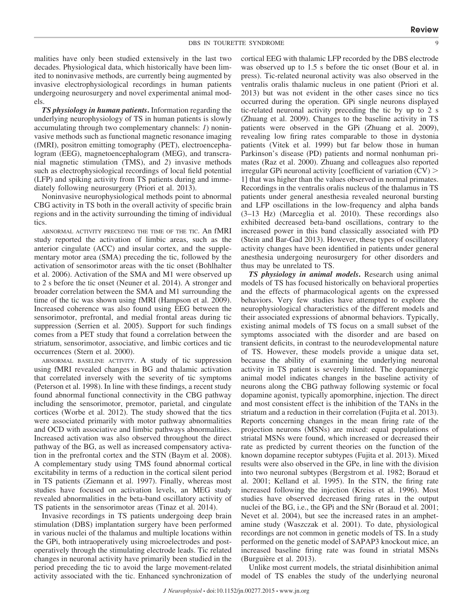**Review**

malities have only been studied extensively in the last two decades. Physiological data, which historically have been limited to noninvasive methods, are currently being augmented by invasive electrophysiological recordings in human patients undergoing neurosurgery and novel experimental animal models.

*TS physiology in human patients***.** Information regarding the underlying neurophysiology of TS in human patients is slowly accumulating through two complementary channels: *1*) noninvasive methods such as functional magnetic resonance imaging (fMRI), positron emitting tomography (PET), electroencephalogram (EEG), magnetoencephalogram (MEG), and transcranial magnetic stimulation (TMS), and *2*) invasive methods such as electrophysiological recordings of local field potential (LFP) and spiking activity from TS patients during and immediately following neurosurgery (Priori et al. 2013).

Noninvasive neurophysiological methods point to abnormal CBG activity in TS both in the overall activity of specific brain regions and in the activity surrounding the timing of individual tics.

ABNORMAL ACTIVITY PRECEDING THE TIME OF THE TIC. An fMRI study reported the activation of limbic areas, such as the anterior cingulate (ACC) and insular cortex, and the supplementary motor area (SMA) preceding the tic, followed by the activation of sensorimotor areas with the tic onset (Bohlhalter et al. 2006). Activation of the SMA and M1 were observed up to 2 s before the tic onset (Neuner et al. 2014). A stronger and broader correlation between the SMA and M1 surrounding the time of the tic was shown using fMRI (Hampson et al. 2009). Increased coherence was also found using EEG between the sensorimotor, prefrontal, and medial frontal areas during tic suppression (Serrien et al. 2005). Support for such findings comes from a PET study that found a correlation between the striatum, sensorimotor, associative, and limbic cortices and tic occurrences (Stern et al. 2000).

ABNORMAL BASELINE ACTIVITY. A study of tic suppression using fMRI revealed changes in BG and thalamic activation that correlated inversely with the severity of tic symptoms (Peterson et al. 1998). In line with these findings, a recent study found abnormal functional connectivity in the CBG pathway including the sensorimotor, premotor, parietal, and cingulate cortices (Worbe et al. 2012). The study showed that the tics were associated primarily with motor pathway abnormalities and OCD with associative and limbic pathways abnormalities. Increased activation was also observed throughout the direct pathway of the BG, as well as increased compensatory activation in the prefrontal cortex and the STN (Baym et al. 2008). A complementary study using TMS found abnormal cortical excitability in terms of a reduction in the cortical silent period in TS patients (Ziemann et al. 1997). Finally, whereas most studies have focused on activation levels, an MEG study revealed abnormalities in the beta-band oscillatory activity of TS patients in the sensorimotor areas (Tinaz et al. 2014).

Invasive recordings in TS patients undergoing deep brain stimulation (DBS) implantation surgery have been performed in various nuclei of the thalamus and multiple locations within the GPi, both intraoperatively using microelectrodes and postoperatively through the stimulating electrode leads. Tic related changes in neuronal activity have primarily been studied in the period preceding the tic to avoid the large movement-related activity associated with the tic. Enhanced synchronization of cortical EEG with thalamic LFP recorded by the DBS electrode was observed up to 1.5 s before the tic onset (Bour et al. in press). Tic-related neuronal activity was also observed in the ventralis oralis thalamic nucleus in one patient (Priori et al. 2013) but was not evident in the other cases since no tics occurred during the operation. GPi single neurons displayed tic-related neuronal activity preceding the tic by up to 2 s (Zhuang et al. 2009). Changes to the baseline activity in TS patients were observed in the GPi (Zhuang et al. 2009), revealing low firing rates comparable to those in dystonia patients (Vitek et al. 1999) but far below those in human Parkinson's disease (PD) patients and normal nonhuman primates (Raz et al. 2000). Zhuang and colleagues also reported irregular GPi neuronal activity [coefficient of variation  $(CV)$  > 1] that was higher than the values observed in normal primates. Recordings in the ventralis oralis nucleus of the thalamus in TS patients under general anesthesia revealed neuronal bursting and LFP oscillations in the low-frequency and alpha bands (3–13 Hz) (Marceglia et al. 2010). These recordings also exhibited decreased beta-band oscillations, contrary to the increased power in this band classically associated with PD (Stein and Bar-Gad 2013). However, these types of oscillatory activity changes have been identified in patients under general anesthesia undergoing neurosurgery for other disorders and thus may be unrelated to TS.

*TS physiology in animal models***.** Research using animal models of TS has focused historically on behavioral properties and the effects of pharmacological agents on the expressed behaviors. Very few studies have attempted to explore the neurophysiological characteristics of the different models and their associated expressions of abnormal behaviors. Typically, existing animal models of TS focus on a small subset of the symptoms associated with the disorder and are based on transient deficits, in contrast to the neurodevelopmental nature of TS. However, these models provide a unique data set, because the ability of examining the underlying neuronal activity in TS patient is severely limited. The dopaminergic animal model indicates changes in the baseline activity of neurons along the CBG pathway following systemic or focal dopamine agonist, typically apomorphine, injection. The direct and most consistent effect is the inhibition of the TANs in the striatum and a reduction in their correlation (Fujita et al. 2013). Reports concerning changes in the mean firing rate of the projection neurons (MSNs) are mixed: equal populations of striatal MSNs were found, which increased or decreased their rate as predicted by current theories on the function of the known dopamine receptor subtypes (Fujita et al. 2013). Mixed results were also observed in the GPe, in line with the division into two neuronal subtypes (Bergstrom et al. 1982; Boraud et al. 2001; Kelland et al. 1995). In the STN, the firing rate increased following the injection (Kreiss et al. 1996). Most studies have observed decreased firing rates in the output nuclei of the BG, i.e., the GPi and the SNr (Boraud et al. 2001; Nevet et al. 2004), but see the increased rates in an amphetamine study (Waszczak et al. 2001). To date, physiological recordings are not common in genetic models of TS. In a study performed on the genetic model of SAPAP3 knockout mice, an increased baseline firing rate was found in striatal MSNs (Burguière et al. 2013).

Unlike most current models, the striatal disinhibition animal model of TS enables the study of the underlying neuronal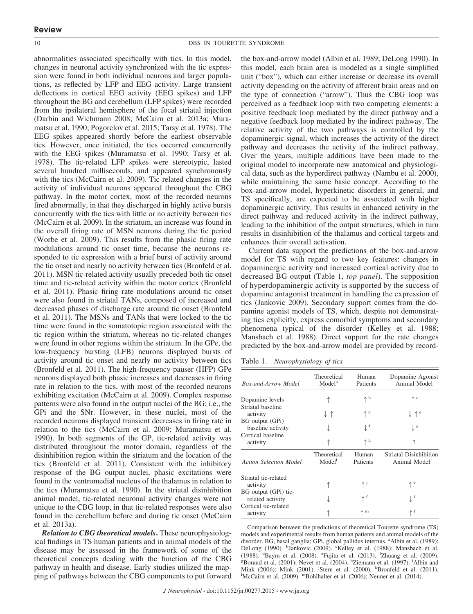abnormalities associated specifically with tics. In this model, changes in neuronal activity synchronized with the tic expression were found in both individual neurons and larger populations, as reflected by LFP and EEG activity. Large transient deflections in cortical EEG activity (EEG spikes) and LFP throughout the BG and cerebellum (LFP spikes) were recorded from the ipsilateral hemisphere of the focal striatal injection (Darbin and Wichmann 2008; McCairn et al. 2013a; Muramatsu et al. 1990; Pogorelov et al. 2015; Tarsy et al. 1978). The EEG spikes appeared shortly before the earliest observable tics. However, once initiated, the tics occurred concurrently with the EEG spikes (Muramatsu et al. 1990; Tarsy et al. 1978). The tic-related LFP spikes were stereotypic, lasted several hundred milliseconds, and appeared synchronously with the tics (McCairn et al. 2009). Tic-related changes in the activity of individual neurons appeared throughout the CBG pathway. In the motor cortex, most of the recorded neurons fired abnormally, in that they discharged in highly active bursts concurrently with the tics with little or no activity between tics (McCairn et al. 2009). In the striatum, an increase was found in the overall firing rate of MSN neurons during the tic period (Worbe et al. 2009). This results from the phasic firing rate modulations around tic onset time, because the neurons responded to tic expression with a brief burst of activity around the tic onset and nearly no activity between tics (Bronfeld et al. 2011). MSN tic-related activity usually preceded both tic onset time and tic-related activity within the motor cortex (Bronfeld et al. 2011). Phasic firing rate modulations around tic onset were also found in striatal TANs, composed of increased and decreased phases of discharge rate around tic onset (Bronfeld et al. 2011). The MSNs and TANs that were locked to the tic time were found in the somatotopic region associated with the tic region within the striatum, whereas no tic-related changes were found in other regions within the striatum. In the GPe, the low-frequency bursting (LFB) neurons displayed bursts of activity around tic onset and nearly no activity between tics (Bronfeld et al. 2011). The high-frequency pauser (HFP) GPe neurons displayed both phasic increases and decreases in firing rate in relation to the tics, with most of the recorded neurons exhibiting excitation (McCairn et al. 2009). Complex response patterns were also found in the output nuclei of the BG; i.e., the GPi and the SNr. However, in these nuclei, most of the recorded neurons displayed transient decreases in firing rate in relation to the tics (McCairn et al. 2009; Muramatsu et al. 1990). In both segments of the GP, tic-related activity was distributed throughout the motor domain, regardless of the disinhibition region within the striatum and the location of the tics (Bronfeld et al. 2011). Consistent with the inhibitory response of the BG output nuclei, phasic excitations were found in the ventromedial nucleus of the thalamus in relation to the tics (Muramatsu et al. 1990). In the striatal disinhibition animal model, tic-related neuronal activity changes were not unique to the CBG loop, in that tic-related responses were also found in the cerebellum before and during tic onset (McCairn et al. 2013a).

*Relation to CBG theoretical models***.** These neurophysiological findings in TS human patients and in animal models of the disease may be assessed in the framework of some of the theoretical concepts dealing with the function of the CBG pathway in health and disease. Early studies utilized the mapping of pathways between the CBG components to put forward

the box-and-arrow model (Albin et al. 1989; DeLong 1990). In this model, each brain area is modeled as a single simplified unit ("box"), which can either increase or decrease its overall activity depending on the activity of afferent brain areas and on the type of connection ("arrow"). Thus the CBG loop was perceived as a feedback loop with two competing elements: a positive feedback loop mediated by the direct pathway and a negative feedback loop mediated by the indirect pathway. The relative activity of the two pathways is controlled by the dopaminergic signal, which increases the activity of the direct pathway and decreases the activity of the indirect pathway. Over the years, multiple additions have been made to the original model to incorporate new anatomical and physiological data, such as the hyperdirect pathway (Nambu et al. 2000), while maintaining the same basic concept. According to the box-and-arrow model, hyperkinetic disorders in general, and TS specifically, are expected to be associated with higher dopaminergic activity. This results in enhanced activity in the direct pathway and reduced activity in the indirect pathway, leading to the inhibition of the output structures, which in turn results in disinhibition of the thalamus and cortical targets and enhances their overall activation.

Current data support the predictions of the box-and-arrow model for TS with regard to two key features: changes in dopaminergic activity and increased cortical activity due to decreased BG output (Table 1, *top panel*). The supposition of hyperdopaminergic activity is supported by the success of dopamine antagonist treatment in handling the expression of tics (Jankovic 2009). Secondary support comes from the dopamine agonist models of TS, which, despite not demonstrating tics explicitly, express comorbid symptoms and secondary phenomena typical of the disorder (Kelley et al. 1988; Mansbach et al. 1988). Direct support for the rate changes predicted by the box-and-arrow model are provided by record-

Table 1. *Neurophysiology of tics*

| Box-and-Arrow Model           | Theoretical<br>Model <sup>a</sup> | Human<br>Patients | Dopamine Agonist<br>Animal Model       |  |
|-------------------------------|-----------------------------------|-------------------|----------------------------------------|--|
| Dopamine levels               |                                   | $\uparrow$ b      | ↑ c                                    |  |
| Striatal baseline             |                                   |                   |                                        |  |
| activity                      | ↓↑                                | $\uparrow$ d      | $\uparrow$ <sup>e</sup><br>↓           |  |
| BG output (GPi)               |                                   |                   |                                        |  |
| baseline activity             |                                   | ∫ f               | $\int g$                               |  |
| Cortical baseline             |                                   | Λh                |                                        |  |
| activity                      |                                   |                   | 9                                      |  |
| <b>Action Selection Model</b> | Theoretical<br>Model <sup>1</sup> | Human<br>Patients | Striatal Disinhibition<br>Animal Model |  |
| Striatal tic-related          |                                   |                   |                                        |  |
| activity                      |                                   | $\uparrow$ j      | $\uparrow$ k                           |  |
| BG output (GPi) tic-          |                                   |                   |                                        |  |
| related activity              |                                   | $\uparrow$ f      | $\mathbb{L}^1$                         |  |
| Cortical tic-related          |                                   |                   |                                        |  |
| activity                      |                                   | $\wedge$ m        | $\uparrow$ 1                           |  |

Comparison between the predictions of theoretical Tourette syndrome (TS) models and experimental results from human patients and animal models of the disorder. BG, basal ganglia; GPi, global pallidus internus. <sup>a</sup>Albin et al. (1989); DeLong (1990). <sup>b</sup>Jankovic (2009). 'Kelley et al. (1988); Mansbach et al. (1988).  $\text{d}$ Baym et al. (2008). <sup>e</sup>Fujita et al. (2013). <sup>f</sup>Zhuang et al. (2009).<br>EBorand et al. (2001): Nevet et al. (2004). <sup>h</sup>Ziemann et al. (1997). <sup>1</sup>Albin and Boraud et al. (2001); Nevet et al. (2004). <sup>h</sup>Ziemann et al. (1997). <sup>i</sup>Albin and Mink (2006); Mink (2001). Stern et al. (2000). *K*Bronfeld et al. (2011).  ${}^{1}_{2}$ McCairn et al. (2000). *FRobleater et al.* (2006); Neuper et al. (2014).  ${}^{1}$ McCairn et al. (2009). <sup>m</sup>Bohlhalter et al. (2006); Neuner et al. (2014).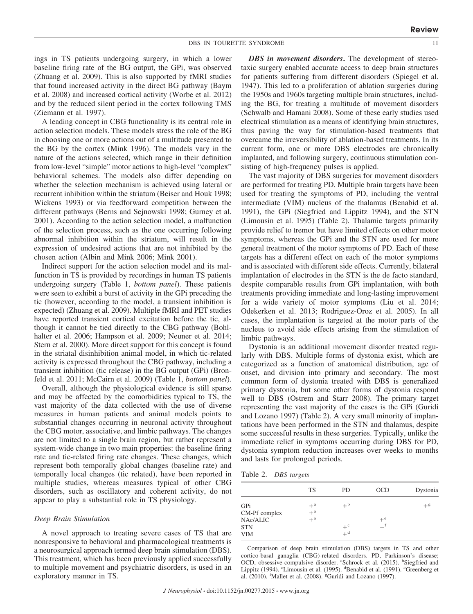ings in TS patients undergoing surgery, in which a lower baseline firing rate of the BG output, the GPi, was observed (Zhuang et al. 2009). This is also supported by fMRI studies that found increased activity in the direct BG pathway (Baym et al. 2008) and increased cortical activity (Worbe et al. 2012) and by the reduced silent period in the cortex following TMS (Ziemann et al. 1997).

A leading concept in CBG functionality is its central role in action selection models. These models stress the role of the BG in choosing one or more actions out of a multitude presented to the BG by the cortex (Mink 1996). The models vary in the nature of the actions selected, which range in their definition from low-level "simple" motor actions to high-level "complex" behavioral schemes. The models also differ depending on whether the selection mechanism is achieved using lateral or recurrent inhibition within the striatum (Beiser and Houk 1998; Wickens 1993) or via feedforward competition between the different pathways (Berns and Sejnowski 1998; Gurney et al. 2001). According to the action selection model, a malfunction of the selection process, such as the one occurring following abnormal inhibition within the striatum, will result in the expression of undesired actions that are not inhibited by the chosen action (Albin and Mink 2006; Mink 2001).

Indirect support for the action selection model and its malfunction in TS is provided by recordings in human TS patients undergoing surgery (Table 1, *bottom panel*). These patients were seen to exhibit a burst of activity in the GPi preceding the tic (however, according to the model, a transient inhibition is expected) (Zhuang et al. 2009). Multiple fMRI and PET studies have reported transient cortical excitation before the tic, although it cannot be tied directly to the CBG pathway (Bohlhalter et al. 2006; Hampson et al. 2009; Neuner et al. 2014; Stern et al. 2000). More direct support for this concept is found in the striatal disinhibition animal model, in which tic-related activity is expressed throughout the CBG pathway, including a transient inhibition (tic release) in the BG output (GPi) (Bronfeld et al. 2011; McCairn et al. 2009) (Table 1, *bottom panel*).

Overall, although the physiological evidence is still sparse and may be affected by the comorbidities typical to TS, the vast majority of the data collected with the use of diverse measures in human patients and animal models points to substantial changes occurring in neuronal activity throughout the CBG motor, associative, and limbic pathways. The changes are not limited to a single brain region, but rather represent a system-wide change in two main properties: the baseline firing rate and tic-related firing rate changes. These changes, which represent both temporally global changes (baseline rate) and temporally local changes (tic related), have been reported in multiple studies, whereas measures typical of other CBG disorders, such as oscillatory and coherent activity, do not appear to play a substantial role in TS physiology.

#### *Deep Brain Stimulation*

A novel approach to treating severe cases of TS that are nonresponsive to behavioral and pharmacological treatments is a neurosurgical approach termed deep brain stimulation (DBS). This treatment, which has been previously applied successfully to multiple movement and psychiatric disorders, is used in an exploratory manner in TS.

*DBS in movement disorders***.** The development of stereotaxic surgery enabled accurate access to deep brain structures for patients suffering from different disorders (Spiegel et al. 1947). This led to a proliferation of ablation surgeries during the 1950s and 1960s targeting multiple brain structures, including the BG, for treating a multitude of movement disorders (Schwalb and Hamani 2008). Some of these early studies used electrical stimulation as a means of identifying brain structures, thus paving the way for stimulation-based treatments that overcame the irreversibility of ablation-based treatments. In its current form, one or more DBS electrodes are chronically implanted, and following surgery, continuous stimulation consisting of high-frequency pulses is applied.

The vast majority of DBS surgeries for movement disorders are performed for treating PD. Multiple brain targets have been used for treating the symptoms of PD, including the ventral intermediate (VIM) nucleus of the thalamus (Benabid et al. 1991), the GPi (Siegfried and Lippitz 1994), and the STN (Limousin et al. 1995) (Table 2). Thalamic targets primarily provide relief to tremor but have limited effects on other motor symptoms, whereas the GPi and the STN are used for more general treatment of the motor symptoms of PD. Each of these targets has a different effect on each of the motor symptoms and is associated with different side effects. Currently, bilateral implantation of electrodes in the STN is the de facto standard, despite comparable results from GPi implantation, with both treatments providing immediate and long-lasting improvement for a wide variety of motor symptoms (Liu et al. 2014; Odekerken et al. 2013; Rodriguez-Oroz et al. 2005). In all cases, the implantation is targeted at the motor parts of the nucleus to avoid side effects arising from the stimulation of limbic pathways.

Dystonia is an additional movement disorder treated regularly with DBS. Multiple forms of dystonia exist, which are categorized as a function of anatomical distribution, age of onset, and division into primary and secondary. The most common form of dystonia treated with DBS is generalized primary dystonia, but some other forms of dystonia respond well to DBS (Ostrem and Starr 2008). The primary target representing the vast majority of the cases is the GPi (Guridi and Lozano 1997) (Table 2). A very small minority of implantations have been performed in the STN and thalamus, despite some successful results in these surgeries. Typically, unlike the immediate relief in symptoms occurring during DBS for PD, dystonia symptom reduction increases over weeks to months and lasts for prolonged periods.

Table 2. *DBS targets*

|               | <b>TS</b>        | PD.              | <b>OCD</b> | Dystonia |
|---------------|------------------|------------------|------------|----------|
| GPi           | $+$ <sup>a</sup> | $+^{\rm b}$      |            | $+$ g    |
| CM-Pf complex | $+$ <sup>a</sup> |                  |            |          |
| NAc/ALIC      | $+$ <sup>a</sup> |                  | $+e$       |          |
| <b>STN</b>    |                  | $+$ <sup>c</sup> | $+^1$      |          |
| <b>VIM</b>    |                  | $+^d$            |            |          |

Comparison of deep brain stimulation (DBS) targets in TS and other cortico-basal ganaglia (CBG)-related disorders. PD, Parkinson's disease; OCD, obsessive-compulsive disorder. <sup>a</sup>Schrock et al. (2015). <sup>b</sup>Siegfried and Lippitz (1994). <sup>c</sup>Limousin et al. (1995). <sup>d</sup>Benabid et al. (1991). <sup>e</sup>Greenberg et al. (2010). <sup>f</sup>Mallet et al. (2008). <sup>g</sup>Guridi and Lozano (1997).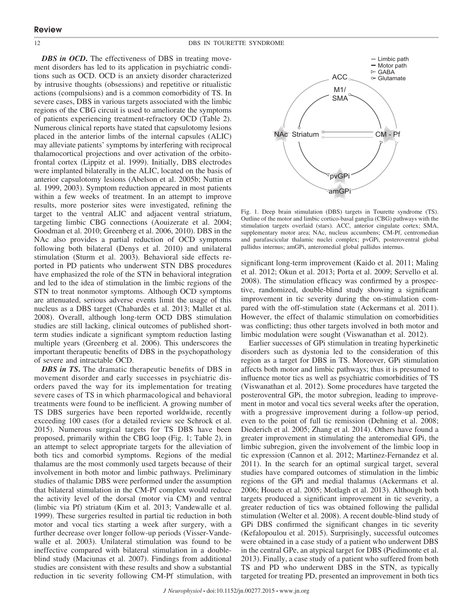*DBS in OCD*. The effectiveness of DBS in treating movement disorders has led to its application in psychiatric conditions such as OCD. OCD is an anxiety disorder characterized by intrusive thoughts (obsessions) and repetitive or ritualistic actions (compulsions) and is a common comorbidity of TS. In severe cases, DBS in various targets associated with the limbic regions of the CBG circuit is used to ameliorate the symptoms of patients experiencing treatment-refractory OCD (Table 2). Numerous clinical reports have stated that capsulotomy lesions placed in the anterior limbs of the internal capsules (ALIC) may alleviate patients' symptoms by interfering with reciprocal thalamocortical projections and over activation of the orbitofrontal cortex (Lippitz et al. 1999). Initially, DBS electrodes were implanted bilaterally in the ALIC, located on the basis of anterior capsulotomy lesions (Abelson et al. 2005b; Nuttin et al. 1999, 2003). Symptom reduction appeared in most patients within a few weeks of treatment. In an attempt to improve results, more posterior sites were investigated, refining the target to the ventral ALIC and adjacent ventral striatum, targeting limbic CBG connections (Aouizerate et al. 2004; Goodman et al. 2010; Greenberg et al. 2006, 2010). DBS in the NAc also provides a partial reduction of OCD symptoms following both bilateral (Denys et al. 2010) and unilateral stimulation (Sturm et al. 2003). Behavioral side effects reported in PD patients who underwent STN DBS procedures have emphasized the role of the STN in behavioral integration and led to the idea of stimulation in the limbic regions of the STN to treat nonmotor symptoms. Although OCD symptoms are attenuated, serious adverse events limit the usage of this nucleus as a DBS target (Chabardès et al. 2013; Mallet et al. 2008). Overall, although long-term OCD DBS stimulation studies are still lacking, clinical outcomes of published shortterm studies indicate a significant symptom reduction lasting multiple years (Greenberg et al. 2006). This underscores the important therapeutic benefits of DBS in the psychopathology of severe and intractable OCD.

*DBS in TS***.** The dramatic therapeutic benefits of DBS in movement disorder and early successes in psychiatric disorders paved the way for its implementation for treating severe cases of TS in which pharmacological and behavioral treatments were found to be inefficient. A growing number of TS DBS surgeries have been reported worldwide, recently exceeding 100 cases (for a detailed review see Schrock et al. 2015). Numerous surgical targets for TS DBS have been proposed, primarily within the CBG loop (Fig. 1; Table 2), in an attempt to select appropriate targets for the alleviation of both tics and comorbid symptoms. Regions of the medial thalamus are the most commonly used targets because of their involvement in both motor and limbic pathways. Preliminary studies of thalamic DBS were performed under the assumption that bilateral stimulation in the CM-Pf complex would reduce the activity level of the dorsal (motor via CM) and ventral (limbic via Pf) striatum (Kim et al. 2013; Vandewalle et al. 1999). These surgeries resulted in partial tic reduction in both motor and vocal tics starting a week after surgery, with a further decrease over longer follow-up periods (Visser-Vandewalle et al. 2003). Unilateral stimulation was found to be ineffective compared with bilateral stimulation in a doubleblind study (Maciunas et al. 2007). Findings from additional studies are consistent with these results and show a substantial reduction in tic severity following CM-Pf stimulation, with



Fig. 1. Deep brain stimulation (DBS) targets in Tourette syndrome (TS). Outline of the motor and limbic cortico-basal ganglia (CBG) pathways with the stimulation targets overlaid (stars). ACC, anterior cingulate cortex; SMA, supplementary motor area; NAc, nucleus accumbens; CM-Pf, centromedian and parafascicular thalamic nuclei complex; pvGPi, posteroventral global pallidus internus; amGPi, anteromedial global pallidus internus.

significant long-term improvement (Kaido et al. 2011; Maling et al. 2012; Okun et al. 2013; Porta et al. 2009; Servello et al. 2008). The stimulation efficacy was confirmed by a prospective, randomized, double-blind study showing a significant improvement in tic severity during the on-stimulation compared with the off-stimulation state (Ackermans et al. 2011). However, the effect of thalamic stimulation on comorbidities was conflicting; thus other targets involved in both motor and limbic modulation were sought (Viswanathan et al. 2012).

Earlier successes of GPi stimulation in treating hyperkinetic disorders such as dystonia led to the consideration of this region as a target for DBS in TS. Moreover, GPi stimulation affects both motor and limbic pathways; thus it is presumed to influence motor tics as well as psychiatric comorbidities of TS (Viswanathan et al. 2012). Some procedures have targeted the posteroventral GPi, the motor subregion, leading to improvement in motor and vocal tics several weeks after the operation, with a progressive improvement during a follow-up period, even to the point of full tic remission (Dehning et al. 2008; Diederich et al. 2005; Zhang et al. 2014). Others have found a greater improvement in stimulating the anteromedial GPi, the limbic subregion, given the involvement of the limbic loop in tic expression (Cannon et al. 2012; Martinez-Fernandez et al. 2011). In the search for an optimal surgical target, several studies have compared outcomes of stimulation in the limbic regions of the GPi and medial thalamus (Ackermans et al. 2006; Houeto et al. 2005; Motlagh et al. 2013). Although both targets produced a significant improvement in tic severity, a greater reduction of tics was obtained following the pallidal stimulation (Welter et al. 2008). A recent double-blind study of GPi DBS confirmed the significant changes in tic severity (Kefalopoulou et al. 2015). Surprisingly, successful outcomes were obtained in a case study of a patient who underwent DBS in the central GPe, an atypical target for DBS (Piedimonte et al. 2013). Finally, a case study of a patient who suffered from both TS and PD who underwent DBS in the STN, as typically targeted for treating PD, presented an improvement in both tics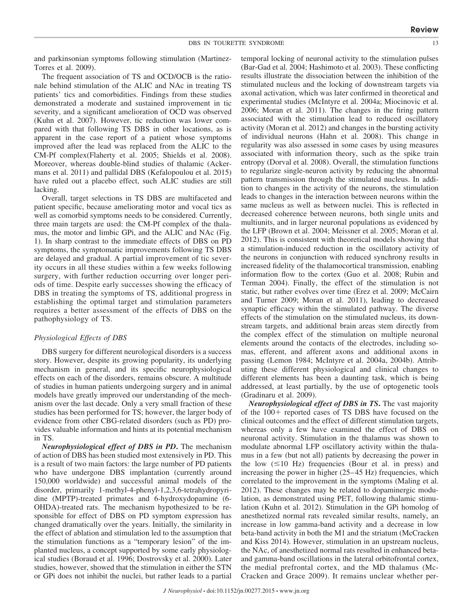and parkinsonian symptoms following stimulation (Martinez-Torres et al. 2009).

The frequent association of TS and OCD/OCB is the rationale behind stimulation of the ALIC and NAc in treating TS patients' tics and comorbidities. Findings from these studies demonstrated a moderate and sustained improvement in tic severity, and a significant amelioration of OCD was observed (Kuhn et al. 2007). However, tic reduction was lower compared with that following TS DBS in other locations, as is apparent in the case report of a patient whose symptoms improved after the lead was replaced from the ALIC to the CM-Pf complex(Flaherty et al. 2005; Shields et al. 2008). Moreover, whereas double-blind studies of thalamic (Ackermans et al. 2011) and pallidal DBS (Kefalopoulou et al. 2015) have ruled out a placebo effect, such ALIC studies are still lacking.

Overall, target selections in TS DBS are multifaceted and patient specific, because ameliorating motor and vocal tics as well as comorbid symptoms needs to be considered. Currently, three main targets are used: the CM-Pf complex of the thalamus, the motor and limbic GPi, and the ALIC and NAc (Fig. 1). In sharp contrast to the immediate effects of DBS on PD symptoms, the symptomatic improvements following TS DBS are delayed and gradual. A partial improvement of tic severity occurs in all these studies within a few weeks following surgery, with further reduction occurring over longer periods of time. Despite early successes showing the efficacy of DBS in treating the symptoms of TS, additional progress in establishing the optimal target and stimulation parameters requires a better assessment of the effects of DBS on the pathophysiology of TS.

## *Physiological Effects of DBS*

DBS surgery for different neurological disorders is a success story. However, despite its growing popularity, its underlying mechanism in general, and its specific neurophysiological effects on each of the disorders, remains obscure. A multitude of studies in human patients undergoing surgery and in animal models have greatly improved our understanding of the mechanism over the last decade. Only a very small fraction of these studies has been performed for TS; however, the larger body of evidence from other CBG-related disorders (such as PD) provides valuable information and hints at its potential mechanism in TS.

*Neurophysiological effect of DBS in PD***.** The mechanism of action of DBS has been studied most extensively in PD. This is a result of two main factors: the large number of PD patients who have undergone DBS implantation (currently around 150,000 worldwide) and successful animal models of the disorder, primarily 1-methyl-4-phenyl-1,2,3,6-tetrahydropyridine (MPTP)-treated primates and 6-hydroxydopamine (6- OHDA)-treated rats. The mechanism hypothesized to be responsible for effect of DBS on PD symptom expression has changed dramatically over the years. Initially, the similarity in the effect of ablation and stimulation led to the assumption that the stimulation functions as a "temporary lesion" of the implanted nucleus, a concept supported by some early physiological studies (Boraud et al. 1996; Dostrovsky et al. 2000). Later studies, however, showed that the stimulation in either the STN or GPi does not inhibit the nuclei, but rather leads to a partial

temporal locking of neuronal activity to the stimulation pulses (Bar-Gad et al. 2004; Hashimoto et al. 2003). These conflicting results illustrate the dissociation between the inhibition of the stimulated nucleus and the locking of downstream targets via axonal activation, which was later confirmed in theoretical and experimental studies (McIntyre et al. 2004a; Miocinovic et al. 2006; Moran et al. 2011). The changes in the firing pattern associated with the stimulation lead to reduced oscillatory activity (Moran et al. 2012) and changes in the bursting activity of individual neurons (Hahn et al. 2008). This change in regularity was also assessed in some cases by using measures associated with information theory, such as the spike train entropy (Dorval et al. 2008). Overall, the stimulation functions to regularize single-neuron activity by reducing the abnormal pattern transmission through the stimulated nucleus. In addition to changes in the activity of the neurons, the stimulation leads to changes in the interaction between neurons within the same nucleus as well as between nuclei. This is reflected in decreased coherence between neurons, both single units and multiunits, and in larger neuronal populations as evidenced by the LFP (Brown et al. 2004; Meissner et al. 2005; Moran et al. 2012). This is consistent with theoretical models showing that a stimulation-induced reduction in the oscillatory activity of the neurons in conjunction with reduced synchrony results in increased fidelity of the thalamocortical transmission, enabling information flow to the cortex (Guo et al. 2008; Rubin and Terman 2004). Finally, the effect of the stimulation is not static, but rather evolves over time (Erez et al. 2009; McCairn and Turner 2009; Moran et al. 2011), leading to decreased synaptic efficacy within the stimulated pathway. The diverse effects of the stimulation on the stimulated nucleus, its downstream targets, and additional brain areas stem directly from the complex effect of the stimulation on multiple neuronal elements around the contacts of the electrodes, including somas, efferent, and afferent axons and additional axons in passing (Lemon 1984; McIntyre et al. 2004a, 2004b). Attributing these different physiological and clinical changes to different elements has been a daunting task, which is being addressed, at least partially, by the use of optogenetic tools (Gradinaru et al. 2009).

*Neurophysiological effect of DBS in TS***.** The vast majority of the  $100+$  reported cases of TS DBS have focused on the clinical outcomes and the effect of different stimulation targets, whereas only a few have examined the effect of DBS on neuronal activity. Stimulation in the thalamus was shown to modulate abnormal LFP oscillatory activity within the thalamus in a few (but not all) patients by decreasing the power in the low  $(\leq 10$  Hz) frequencies (Bour et al. in press) and increasing the power in higher (25–45 Hz) frequencies, which correlated to the improvement in the symptoms (Maling et al. 2012). These changes may be related to dopaminergic modulation, as demonstrated using PET, following thalamic stimulation (Kuhn et al. 2012). Stimulation in the GPi homolog of anesthetized normal rats revealed similar results, namely, an increase in low gamma-band activity and a decrease in low beta-band activity in both the M1 and the striatum (McCracken and Kiss 2014). However, stimulation in an upstream nucleus, the NAc, of anesthetized normal rats resulted in enhanced betaand gamma-band oscillations in the lateral orbitofrontal cortex, the medial prefrontal cortex, and the MD thalamus (Mc-Cracken and Grace 2009). It remains unclear whether per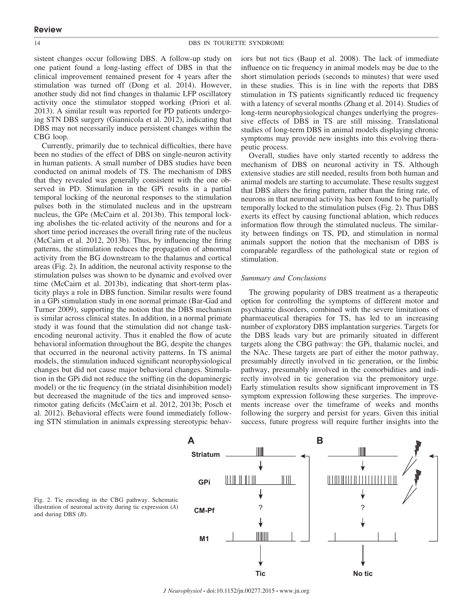sistent changes occur following DBS. A follow-up study on one patient found a long-lasting effect of DBS in that the clinical improvement remained present for 4 years after the stimulation was turned off (Dong et al. 2014). However, another study did not find changes in thalamic LFP oscillatory activity once the stimulator stopped working (Priori et al. 2013). A similar result was reported for PD patients undergoing STN DBS surgery (Giannicola et al. 2012), indicating that DBS may not necessarily induce persistent changes within the CBG loop.

Currently, primarily due to technical difficulties, there have been no studies of the effect of DBS on single-neuron activity in human patients. A small number of DBS studies have been conducted on animal models of TS. The mechanism of DBS that they revealed was generally consistent with the one observed in PD. Stimulation in the GPi results in a partial temporal locking of the neuronal responses to the stimulation pulses both in the stimulated nucleus and in the upstream nucleus, the GPe (McCairn et al. 2013b). This temporal locking abolishes the tic-related activity of the neurons and for a short time period increases the overall firing rate of the nucleus (McCairn et al. 2012, 2013b). Thus, by influencing the firing patterns, the stimulation reduces the propagation of abnormal activity from the BG downstream to the thalamus and cortical areas (Fig. 2). In addition, the neuronal activity response to the stimulation pulses was shown to be dynamic and evolved over time (McCairn et al. 2013b), indicating that short-term plasticity plays a role in DBS function. Similar results were found in a GPi stimulation study in one normal primate (Bar-Gad and Turner 2009), supporting the notion that the DBS mechanism is similar across clinical states. In addition, in a normal primate study it was found that the stimulation did not change taskencoding neuronal activity. Thus it enabled the flow of acute behavioral information throughout the BG, despite the changes that occurred in the neuronal activity patterns. In TS animal models, the stimulation induced significant neurophysiological changes but did not cause major behavioral changes. Stimulation in the GPi did not reduce the sniffing (in the dopaminergic model) or the tic frequency (in the striatal disinhibition model) but decreased the magnitude of the tics and improved sensorimotor gating deficits (McCairn et al. 2012, 2013b; Posch et al. 2012). Behavioral effects were found immediately following STN stimulation in animals expressing stereotypic behaviors but not tics (Baup et al. 2008). The lack of immediate influence on tic frequency in animal models may be due to the short stimulation periods (seconds to minutes) that were used in these studies. This is in line with the reports that DBS stimulation in TS patients significantly reduced tic frequency with a latency of several months (Zhang et al. 2014). Studies of long-term neurophysiological changes underlying the progressive effects of DBS in TS are still missing. Translational studies of long-term DBS in animal models displaying chronic symptoms may provide new insights into this evolving therapeutic process.

Overall, studies have only started recently to address the mechanism of DBS on neuronal activity in TS. Although extensive studies are still needed, results from both human and animal models are starting to accumulate. These results suggest that DBS alters the firing pattern, rather than the firing rate, of neurons in that neuronal activity has been found to be partially temporally locked to the stimulation pulses (Fig. 2). Thus DBS exerts its effect by causing functional ablation, which reduces information flow through the stimulated nucleus. The similarity between findings on TS, PD, and stimulation in normal animals support the notion that the mechanism of DBS is comparable regardless of the pathological state or region of stimulation.

#### *Summary and Conclusions*

The growing popularity of DBS treatment as a therapeutic option for controlling the symptoms of different motor and psychiatric disorders, combined with the severe limitations of pharmaceutical therapies for TS, has led to an increasing number of exploratory DBS implantation surgeries. Targets for the DBS leads vary but are primarily situated in different targets along the CBG pathway: the GPi, thalamic nuclei, and the NAc. These targets are part of either the motor pathway, presumably directly involved in tic generation, or the limbic pathway, presumably involved in the comorbidities and indirectly involved in tic generation via the premonitory urge. Early stimulation results show significant improvement in TS symptom expression following these surgeries. The improvements increase over the timeframe of weeks and months following the surgery and persist for years. Given this initial success, future progress will require further insights into the



Fig. 2. Tic encoding in the CBG pathway. Schematic illustration of neuronal activity during tic expression (*A*) and during DBS (*B*).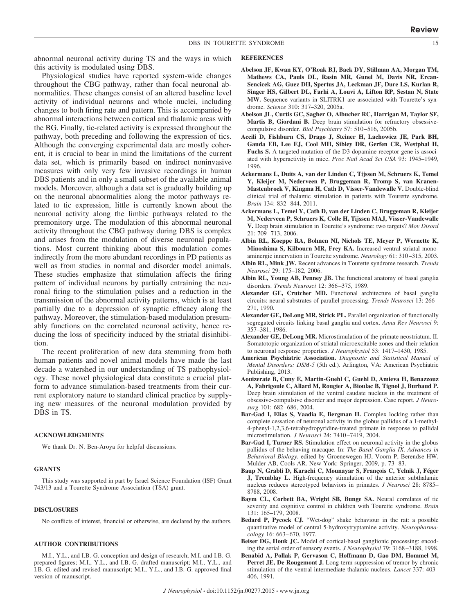abnormal neuronal activity during TS and the ways in which this activity is modulated using DBS.

Physiological studies have reported system-wide changes throughout the CBG pathway, rather than focal neuronal abnormalities. These changes consist of an altered baseline level activity of individual neurons and whole nuclei, including changes to both firing rate and pattern. This is accompanied by abnormal interactions between cortical and thalamic areas with the BG. Finally, tic-related activity is expressed throughout the pathway, both preceding and following the expression of tics. Although the converging experimental data are mostly coherent, it is crucial to bear in mind the limitations of the current data set, which is primarily based on indirect noninvasive measures with only very few invasive recordings in human DBS patients and in only a small subset of the available animal models. Moreover, although a data set is gradually building up on the neuronal abnormalities along the motor pathways related to tic expression, little is currently known about the neuronal activity along the limbic pathways related to the premonitory urge. The modulation of this abnormal neuronal activity throughout the CBG pathway during DBS is complex and arises from the modulation of diverse neuronal populations. Most current thinking about this modulation comes indirectly from the more abundant recordings in PD patients as well as from studies in normal and disorder model animals. These studies emphasize that stimulation affects the firing pattern of individual neurons by partially entraining the neuronal firing to the stimulation pulses and a reduction in the transmission of the abnormal activity patterns, which is at least partially due to a depression of synaptic efficacy along the pathway. Moreover, the stimulation-based modulation presumably functions on the correlated neuronal activity, hence reducing the loss of specificity induced by the striatal disinhibition.

The recent proliferation of new data stemming from both human patients and novel animal models have made the last decade a watershed in our understanding of TS pathophysiology. These novel physiological data constitute a crucial platform to advance stimulation-based treatments from their current exploratory nature to standard clinical practice by supplying new measures of the neuronal modulation provided by DBS in TS.

#### **ACKNOWLEDGMENTS**

We thank Dr. N. Ben-Aroya for helpful discussions.

#### **GRANTS**

This study was supported in part by Israel Science Foundation (ISF) Grant 743/13 and a Tourette Syndrome Association (TSA) grant.

#### **DISCLOSURES**

No conflicts of interest, financial or otherwise, are declared by the authors.

#### **AUTHOR CONTRIBUTIONS**

M.I., Y.L., and I.B.-G. conception and design of research; M.I. and I.B.-G. prepared figures; M.I., Y.L., and I.B.-G. drafted manuscript; M.I., Y.L., and I.B.-G. edited and revised manuscript; M.I., Y.L., and I.B.-G. approved final version of manuscript.

#### **REFERENCES**

- **Abelson JF, Kwan KY, O'Roak BJ, Baek DY, Stillman AA, Morgan TM, Mathews CA, Pauls DL, Rasin MR, Gunel M, Davis NR, Ercan-Sencicek AG, Guez DH, Spertus JA, Leckman JF, Dure LS, Kurlan R, Singer HS, Gilbert DL, Farhi A, Louvi A, Lifton RP, Sestan N, State MW.** Sequence variants in SLITRK1 are associated with Tourette's syndrome. *Science* 310: 317–320, 2005a.
- **Abelson JL, Curtis GC, Sagher O, Albucher RC, Harrigan M, Taylor SF, Martis B, Giordani B.** Deep brain stimulation for refractory obsessivecompulsive disorder. *Biol Psychiatry* 57: 510 –516, 2005b.
- **Accili D, Fishburn CS, Drago J, Steiner H, Lachowicz JE, Park BH, Gauda EB, Lee EJ, Cool MH, Sibley DR, Gerfen CR, Westphal H, Fuchs S.** A targeted mutation of the D3 dopamine receptor gene is associated with hyperactivity in mice. *Proc Natl Acad Sci USA* 93: 1945–1949, 1996.
- **Ackermans L, Duits A, van der Linden C, Tijssen M, Schruers K, Temel Y, Kleijer M, Nederveen P, Bruggeman R, Tromp S, van Kranen-Mastenbroek V, Kingma H, Cath D, Visser-Vandewalle V.** Double-blind clinical trial of thalamic stimulation in patients with Tourette syndrome. *Brain* 134: 832– 844, 2011.
- **Ackermans L, Temel Y, Cath D, van der Linden C, Bruggeman R, Kleijer M, Nederveen P, Schruers K, Colle H, Tijssen MAJ, Visser-Vandewalle V.** Deep brain stimulation in Tourette's syndrome: two targets? *Mov Disord* 21: 709 –713, 2006.
- **Albin RL, Koeppe RA, Bohnen NI, Nichols TE, Meyer P, Wernette K, Minoshima S, Kilbourn MR, Frey KA.** Increased ventral striatal monoaminergic innervation in Tourette syndrome. *Neurology* 61: 310 –315, 2003.
- **Albin RL, Mink JW.** Recent advances in Tourette syndrome research. *Trends Neurosci* 29: 175–182, 2006.
- **Albin RL, Young AB, Penney JB.** The functional anatomy of basal ganglia disorders. *Trends Neurosci* 12: 366 –375, 1989.
- **Alexander GE, Crutcher MD.** Functional architecture of basal ganglia circuits: neural substrates of parallel processing. *Trends Neurosci* 13: 266 – 271, 1990.
- **Alexander GE, DeLong MR, Strick PL.** Parallel organization of functionally segregated circuits linking basal ganglia and cortex. *Annu Rev Neurosci* 9: 357–381, 1986.
- **Alexander GE, DeLong MR.** Microstimulation of the primate neostriatum. II. Somatotopic organization of striatal microexcitable zones and their relation to neuronal response properties. *J Neurophysiol* 53: 1417–1430, 1985.
- **American Psychiatric Association.** *Diagnostic and Statistical Manual of Mental Disorders: DSM-5* (5th ed.). Arlington, VA: American Psychiatric Publishing, 2013.
- **Aouizerate B, Cuny E, Martin-Guehl C, Guehl D, Amieva H, Benazzouz A, Fabrigoule C, Allard M, Rougier A, Bioulac B, Tignol J, Burbaud P.** Deep brain stimulation of the ventral caudate nucleus in the treatment of obsessive-compulsive disorder and major depression. Case report. *J Neurosurg* 101: 682– 686, 2004.
- **Bar-Gad I, Elias S, Vaadia E, Bergman H.** Complex locking rather than complete cessation of neuronal activity in the globus pallidus of a 1-methyl-4-phenyl-1,2,3,6-tetrahydropyridine-treated primate in response to pallidal microstimulation. *J Neurosci* 24: 7410 –7419, 2004.
- **Bar-Gad I, Turner RS.** Stimulation effect on neuronal activity in the globus pallidus of the behaving macaque. In: *The Basal Ganglia IX, Advances in Behavioral Biology*, edited by Groenewegen HJ, Voorn P, Berendse HW, Mulder AB, Cools AR. New York: Springer, 2009, p. 73– 83.
- **Baup N, Grabli D, Karachi C, Mounayar S, François C, Yelnik J, Féger J, Tremblay L.** High-frequency stimulation of the anterior subthalamic nucleus reduces stereotyped behaviors in primates. *J Neurosci* 28: 8785– 8788, 2008.
- **Baym CL, Corbett BA, Wright SB, Bunge SA.** Neural correlates of tic severity and cognitive control in children with Tourette syndrome. *Brain* 131: 165–179, 2008.
- **Bedard P, Pycock CJ.** "Wet-dog" shake behaviour in the rat: a possible quantitative model of central 5-hydroxytryptamine activity. *Neuropharmacology* 16: 663– 670, 1977.
- **Beiser DG, Houk JC.** Model of cortical-basal ganglionic processing: encoding the serial order of sensory events. *J Neurophysiol* 79: 3168 –3188, 1998.
- **Benabid A, Pollak P, Gervason C, Hoffmann D, Gao DM, Hommel M,** Perret JE, De Rougemont J. Long-term suppression of tremor by chronic stimulation of the ventral intermediate thalamic nucleus. *Lancet* 337: 403– 406, 1991.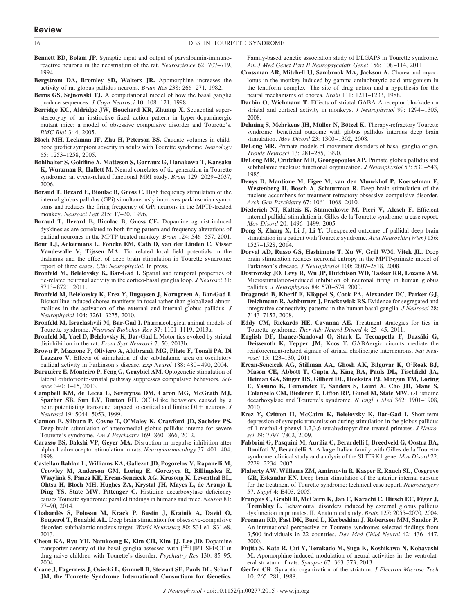**Bennett BD, Bolam JP.** Synaptic input and output of parvalbumin-immunoreactive neurons in the neostriatum of the rat. *Neuroscience* 62: 707–719, 1994.

- **Bergstrom DA, Bromley SD, Walters JR.** Apomorphine increases the activity of rat globus pallidus neurons. *Brain Res* 238: 266 –271, 1982.
- **Berns GS, Sejnowski TJ.** A computational model of how the basal ganglia produce sequences. *J Cogn Neurosci* 10: 108 –121, 1998.
- **Berridge KC, Aldridge JW, Houchard KR, Zhuang X.** Sequential superstereotypy of an instinctive fixed action pattern in hyper-dopaminergic mutant mice: a model of obsessive compulsive disorder and Tourette's. *BMC Biol* 3: 4, 2005.
- **Bloch MH, Leckman JF, Zhu H, Peterson BS.** Caudate volumes in childhood predict symptom severity in adults with Tourette syndrome. *Neurology* 65: 1253–1258, 2005.
- **Bohlhalter S, Goldfine A, Matteson S, Garraux G, Hanakawa T, Kansaku K, Wurzman R, Hallett M.** Neural correlates of tic generation in Tourette syndrome: an event-related functional MRI study. *Brain* 129: 2029 –2037, 2006.
- **Boraud T, Bezard E, Bioulac B, Gross C.** High frequency stimulation of the internal globus pallidus (GPi) simultaneously improves parkinsonian symptoms and reduces the firing frequency of GPi neurons in the MPTP-treated monkey. *Neurosci Lett* 215: 17–20, 1996.
- **Boraud T, Bezard E, Bioulac B, Gross CE.** Dopamine agonist-induced dyskinesias are correlated to both firing pattern and frequency alterations of pallidal neurones in the MPTP-treated monkey. *Brain* 124: 546 –557, 2001.
- **Bour LJ, Ackermans L, Foncke EM, Cath D, van der Linden C, Visser Vandewalle V, Tijssen MA.** Tic related local field potentials in the thalamus and the effect of deep brain stimulation in Tourette syndrome: report of three cases. *Clin Neurophysiol*. In press.
- **Bronfeld M, Belelovsky K, Bar-Gad I.** Spatial and temporal properties of tic-related neuronal activity in the cortico-basal ganglia loop. *J Neurosci* 31: 8713– 8721, 2011.
- **Bronfeld M, Belelovsky K, Erez Y, Bugaysen J, Korngreen A, Bar-Gad I.** Bicuculline-induced chorea manifests in focal rather than globalized abnormalities in the activation of the external and internal globus pallidus. *J Neurophysiol* 104: 3261–3275, 2010.
- **Bronfeld M, Israelashvili M, Bar-Gad I.** Pharmacological animal models of Tourette syndrome. *Neurosci Biobehav Rev* 37: 1101–1119, 2013a.
- **Bronfeld M, Yael D, Belelovsky K, Bar-Gad I.** Motor tics evoked by striatal disinhibition in the rat. *Front Syst Neurosci* 7: 50, 2013b.
- **Brown P, Mazzone P, Oliviero A, Altibrandi MG, Pilato F, Tonali PA, Di Lazzaro V.** Effects of stimulation of the subthalamic area on oscillatory pallidal activity in Parkinson's disease. *Exp Neurol* 188: 480-490, 2004.
- **Burguière E, Monteiro P, Feng G, Graybiel AM.** Optogenetic stimulation of lateral orbitofronto-striatal pathway suppresses compulsive behaviors. *Science* 340: 1–15, 2013.
- **Campbell KM, de Lecea L, Severynse DM, Caron MG, McGrath MJ, Sparber SB, Sun LY, Burton FH.** OCD-Like behaviors caused by a neuropotentiating transgene targeted to cortical and limbic  $D1$  + neurons. *J Neurosci* 19: 5044 –5053, 1999.
- **Cannon E, Silburn P, Coyne T, O'Maley K, Crawford JD, Sachdev PS.** Deep brain stimulation of anteromedial globus pallidus interna for severe Tourette's syndrome. *Am J Psychiatry* 169: 860 – 866, 2012.
- **Carasso BS, Bakshi VP, Geyer MA.** Disruption in prepulse inhibition after alpha-1 adrenoceptor stimulation in rats. *Neuropharmacology* 37: 401– 404, 1998.
- **Castellan Baldan L, Williams KA, Gallezot JD, Pogorelov V, Rapanelli M, Crowley M, Anderson GM, Loring E, Gorczyca R, Billingslea E, Wasylink S, Panza KE, Ercan-Sencicek AG, Krusong K, Leventhal BL, Ohtsu H, Bloch MH, Hughes ZA, Krystal JH, Mayes L, de Araujo I, Ding YS, State MW, Pittenger C.** Histidine decarboxylase deficiency causes Tourette syndrome: parallel findings in humans and mice. *Neuron* 81: 77–90, 2014.
- **Chabardès S, Polosan M, Krack P, Bastin J, Krainik A, David O, Bougerol T, Benabid AL.** Deep brain stimulation for obsessive-compulsive disorder: subthalamic nucleus target. *World Neurosurg* 80: S31.e1–S31.e8, 2013.
- **Cheon KA, Ryu YH, Namkoong K, Kim CH, Kim JJ, Lee JD.** Dopamine transporter density of the basal ganglia assessed with  $\lceil 1^{23} \rceil$ ]IPT SPECT in drug-naive children with Tourette's disorder. *Psychiatry Res* 130: 85–95, 2004.
- **Crane J, Fagerness J, Osiecki L, Gunnell B, Stewart SE, Pauls DL, Scharf JM, the Tourette Syndrome International Consortium for Genetics.**

Family-based genetic association study of DLGAP3 in Tourette syndrome. *Am J Med Genet Part B Neuropsychiatr Genet* 156: 108 –114, 2011.

- **Crossman AR, Mitchell IJ, Sambrook MA, Jackson A.** Chorea and myoclonus in the monkey induced by gamma-aminobutyric acid antagonism in the lentiform complex. The site of drug action and a hypothesis for the neural mechanisms of chorea. *Brain* 111: 1211–1233, 1988.
- **Darbin O, Wichmann T.** Effects of striatal GABA A-receptor blockade on striatal and cortical activity in monkeys. *J Neurophysiol* 99: 1294 –1305, 2008.
- **Dehning S, Mehrkens JH, Müller N, Bötzel K.** Therapy-refractory Tourette syndrome: beneficial outcome with globus pallidus internus deep brain stimulation. *Mov Disord* 23: 1300 –1302, 2008.
- **DeLong MR.** Primate models of movement disorders of basal ganglia origin. *Trends Neurosci* 13: 281–285, 1990.
- **DeLong MR, Crutcher MD, Georgopoulos AP.** Primate globus pallidus and subthalamic nucleus: functional organization. *J Neurophysiol* 53: 530 –543, 1985.
- **Denys D, Mantione M, Figee M, van den Munckhof P, Koerselman F, Westenberg H, Bosch A, Schuurman R.** Deep brain stimulation of the nucleus accumbens for treatment-refractory obsessive-compulsive disorder. *Arch Gen Psychiatry* 67: 1061–1068, 2010.
- **Diederich NJ, Kalteis K, Stamenkovic M, Pieri V, Alesch F.** Efficient internal pallidal stimulation in Gilles de la Tourette syndrome: a case report. *Mov Disord* 20: 1496 –1499, 2005.
- **Dong S, Zhang X, Li J, Li Y.** Unexpected outcome of pallidal deep brain stimulation in a patient with Tourette syndrome. *Acta Neurochir (Wien)* 156: 1527–1528, 2014.
- **Dorval AD, Russo GS, Hashimoto T, Xu W, Grill WM, Vitek JL.** Deep brain stimulation reduces neuronal entropy in the MPTP-primate model of Parkinson's disease. *J Neurophysiol* 100: 2807–2818, 2008.
- **Dostrovsky JO, Levy R, Wu JP, Hutchison WD, Tasker RR, Lozano AM.** Microstimulation-induced inhibition of neuronal firing in human globus pallidus. *J Neurophysiol* 84: 570 –574, 2000.
- **Draganski B, Kherif F, Klöppel S, Cook PA, Alexander DC, Parker GJ, Deichmann R, Ashburner J, Frackowiak RS.** Evidence for segregated and integrative connectivity patterns in the human basal ganglia. *J Neurosci* 28: 7143–7152, 2008.
- **Eddy CM, Rickards HE, Cavanna AE.** Treatment strategies for tics in Tourette syndrome. *Ther Adv Neurol Disord* 4: 25–45, 2011.
- **English DF, Ibanez-Sandoval O, Stark E, Tecuapetla F, Buzsáki G, Deisseroth K, Tepper JM, Koos T.** GABAergic circuits mediate the reinforcement-related signals of striatal cholinergic interneurons. *Nat Neurosci* 15: 123–130, 2011.
- **Ercan-Sencicek AG, Stillman AA, Ghosh AK, Bilguvar K, O'Roak BJ, Mason CE, Abbott T, Gupta A, King RA, Pauls DL, Tischfield JA, Heiman GA, Singer HS, Gilbert DL, Hoekstra PJ, Morgan TM, Loring E, Yasuno K, Fernandez T, Sanders S, Louvi A, Cho JH, Mane S, Colangelo CM, Biederer T, Lifton RP, Gunel M, State MW.** L-Histidine decarboxylase and Tourette's syndrome. *N Engl J Med* 362: 1901–1908, 2010.
- **Erez Y, Czitron H, McCairn K, Belelovsky K, Bar-Gad I.** Short-term depression of synaptic transmission during stimulation in the globus pallidus of 1-methyl-4-phenyl-1,2,3,6-tetrahydropyridine-treated primates. *J Neurosci* 29: 7797–7802, 2009.
- **Fabbrini G, Pasquini M, Aurilia C, Berardelli I, Breedveld G, Oostra BA, Bonifati V, Berardelli A.** A large Italian family with Gilles de la Tourette syndrome: clinical study and analysis of the SLITRK1 gene. *Mov Disord* 22: 2229 –2234, 2007.
- **Flaherty AW, Williams ZM, Amirnovin R, Kasper E, Rauch SL, Cosgrove GR, Eskandar EN.** Deep brain stimulation of the anterior internal capsule for the treatment of Tourette syndrome: technical case report. *Neurosurgery* 57, *Suppl* 4: E403, 2005.
- **François C, Grabli D, McCairn K, Jan C, Karachi C, Hirsch EC, Féger J, Tremblay L.** Behavioural disorders induced by external globus pallidus dysfunction in primates. II. Anatomical study. *Brain* 127: 2055–2070, 2004.
- **Freeman RD, Fast DK, Burd L, Kerbeshian J, Robertson MM, Sandor P.** An international perspective on Tourette syndrome: selected findings from 3,500 individuals in 22 countries. *Dev Med Child Neurol* 42: 436 – 447, 2000.
- **Fujita S, Kato R, Cui Y, Terakado M, Suga K, Koshikawa N, Kobayashi M.** Apomorphine-induced modulation of neural activities in the ventrolateral striatum of rats. *Synapse* 67: 363–373, 2013.
- **Gerfen CR.** Synaptic organization of the striatum. *J Electron Microsc Tech* 10: 265–281, 1988.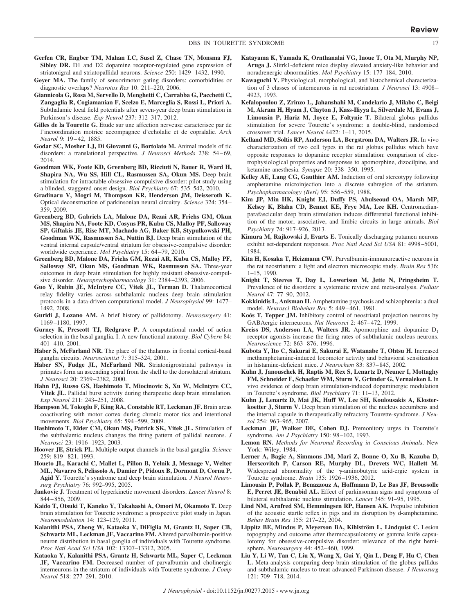- **Gerfen CR, Engber TM, Mahan LC, Susel Z, Chase TN, Monsma FJ, Sibley DR.** D1 and D2 dopamine receptor-regulated gene expression of striatonigral and striatopallidal neurons. *Science* 250: 1429 –1432, 1990.
- **Geyer MA.** The family of sensorimotor gating disorders: comorbidities or diagnostic overlaps? *Neurotox Res* 10: 211–220, 2006.
- **Giannicola G, Rosa M, Servello D, Menghetti C, Carrabba G, Pacchetti C, Zangaglia R, Cogiamanian F, Scelzo E, Marceglia S, Rossi L, Priori A.** Subthalamic local field potentials after seven-year deep brain stimulation in Parkinson's disease. *Exp Neurol* 237: 312–317, 2012.
- **Gilles de la Tourette G.** Etude sur une affection nerveuse caracterisee par de l'incoordination motrice accompagnee d'echolalie et de copralalie. *Arch Neurol* 9: 19 – 42, 1885.
- **Godar SC, Mosher LJ, Di Giovanni G, Bortolato M.** Animal models of tic disorders: a translational perspective. *J Neurosci Methods* 238: 54-69, 2014.
- **Goodman WK, Foote KD, Greenberg BD, Ricciuti N, Bauer R, Ward H, Shapira NA, Wu SS, Hill CL, Rasmussen SA, Okun MS.** Deep brain stimulation for intractable obsessive compulsive disorder: pilot study using a blinded, staggered-onset design. *Biol Psychiatry* 67: 535–542, 2010.
- **Gradinaru V, Mogri M, Thompson KR, Henderson JM, Deisseroth K.** Optical deconstruction of parkinsonian neural circuitry. *Science* 324: 354 – 359, 2009.
- **Greenberg BD, Gabriels LA, Malone DA, Rezai AR, Friehs GM, Okun MS, Shapira NA, Foote KD, Cosyns PR, Kubu CS, Malloy PF, Salloway SP, Giftakis JE, Rise MT, Machado AG, Baker KB, Stypulkowski PH, Goodman WK, Rasmussen SA, Nuttin BJ.** Deep brain stimulation of the ventral internal capsule/ventral striatum for obsessive-compulsive disorder: worldwide experience. *Mol Psychiatry* 15: 64 –79, 2010.
- **Greenberg BD, Malone DA, Friehs GM, Rezai AR, Kubu CS, Malloy PF, Salloway SP, Okun MS, Goodman WK, Rasmussen SA.** Three-year outcomes in deep brain stimulation for highly resistant obsessive-compulsive disorder. *Neuropsychopharmacology* 31: 2384 –2393, 2006.
- **Guo Y, Rubin JE, McIntyre CC, Vitek JL, Terman D.** Thalamocortical relay fidelity varies across subthalamic nucleus deep brain stimulation protocols in a data-driven computational model. *J Neurophysiol* 99: 1477– 1492, 2008.
- **Guridi J, Lozano AM.** A brief history of pallidotomy. *Neurosurgery* 41: 1169 –1180, 1997.
- **Gurney K, Prescott TJ, Redgrave P.** A computational model of action selection in the basal ganglia. I. A new functional anatomy. *Biol Cybern* 84: 401– 410, 2001.
- **Haber S, McFarland NR.** The place of the thalamus in frontal cortical-basal ganglia circuits. *Neuroscientist* 7: 315–324, 2001.
- **Haber SN, Fudge JL, McFarland NR.** Striatonigrostriatal pathways in primates form an ascending spiral from the shell to the dorsolateral striatum. *J Neurosci* 20: 2369 –2382, 2000.
- **Hahn PJ, Russo GS, Hashimoto T, Miocinovic S, Xu W, McIntyre CC, Vitek JL.** Pallidal burst activity during therapeutic deep brain stimulation. *Exp Neurol* 211: 243–251, 2008.
- **Hampson M, Tokoglu F, King RA, Constable RT, Leckman JF.** Brain areas coactivating with motor cortex during chronic motor tics and intentional movements. *Biol Psychiatry* 65: 594 –599, 2009.
- **Hashimoto T, Elder CM, Okun MS, Patrick SK, Vitek JL.** Stimulation of the subthalamic nucleus changes the firing pattern of pallidal neurons. *J Neurosci* 23: 1916 –1923, 2003.
- **Hoover JE, Strick PL.** Multiple output channels in the basal ganglia. *Science* 259: 819 – 821, 1993.
- **Houeto JL, Karachi C, Mallet L, Pillon B, Yelnik J, Mesnage V, Welter ML, Navarro S, Pelissolo A, Damier P, Pidoux B, Dormont D, Cornu P, Agid Y.** Tourette's syndrome and deep brain stimulation. *J Neurol Neurosurg Psychiatry* 76: 992–995, 2005.
- **Jankovic J.** Treatment of hyperkinetic movement disorders. *Lancet Neurol* 8: 844 – 856, 2009.
- **Kaido T, Otsuki T, Kaneko Y, Takahashi A, Omori M, Okamoto T.** Deep brain stimulation for Tourette syndrome: a prospective pilot study in Japan. *Neuromodulation* 14: 123–129, 2011.
- **Kalanithi PSA, Zheng W, Kataoka Y, DiFiglia M, Grantz H, Saper CB, Schwartz ML, Leckman JF, Vaccarino FM.** Altered parvalbumin-positive neuron distribution in basal ganglia of individuals with Tourette syndrome. *Proc Natl Acad Sci USA* 102: 13307–13312, 2005.
- **Kataoka Y, Kalanithi PSA, Grantz H, Schwartz ML, Saper C, Leckman JF, Vaccarino FM.** Decreased number of parvalbumin and cholinergic interneurons in the striatum of individuals with Tourette syndrome. *J Comp Neurol* 518: 277–291, 2010.
- **Katayama K, Yamada K, Ornthanalai VG, Inoue T, Ota M, Murphy NP, Aruga J.** Slitrk1-deficient mice display elevated anxiety-like behavior and noradrenergic abnormalities. *Mol Psychiatry* 15: 177–184, 2010.
- **Kawaguchi Y.** Physiological, morphological, and histochemical characterization of 3 classes of interneurons in rat neostriatum. *J Neurosci* 13: 4908 – 4923, 1993.
- **Kefalopoulou Z, Zrinzo L, Jahanshahi M, Candelario J, Milabo C, Beigi M, Akram H, Hyam J, Clayton J, Kass-Iliyya L, Silverdale M, Evans J, Limousin P, Hariz M, Joyce E, Foltynie T.** Bilateral globus pallidus stimulation for severe Tourette's syndrome: a double-blind, randomised crossover trial. *Lancet Neurol* 4422: 1–11, 2015.
- **Kelland MD, Soltis RP, Anderson LA, Bergstrom DA, Walters JR.** In vivo characterization of two cell types in the rat globus pallidus which have opposite responses to dopamine receptor stimulation: comparison of electrophysiological properties and responses to apomorphine, dizocilpine, and ketamine anesthesia. *Synapse* 20: 338 –350, 1995.
- **Kelley AE, Lang CG, Gauthier AM.** Induction of oral stereotypy following amphetamine microinjection into a discrete subregion of the striatum. *Psychopharmacology (Berl)* 95: 556 –559, 1988.
- **Kim JP, Min HK, Knight EJ, Duffy PS, Abulseoud OA, Marsh MP, Kelsey K, Blaha CD, Bennet KE, Frye MA, Lee KH.** Centromedianparafascicular deep brain stimulation induces differential functional inhibition of the motor, associative, and limbic circuits in large animals. *Biol Psychiatry* 74: 917–926, 2013.
- **Kimura M, Rajkowski J, Evarts E.** Tonically discharging putamen neurons exhibit set-dependent responses. *Proc Natl Acad Sci USA* 81: 4998 –5001, 1984.
- **Kita H, Kosaka T, Heizmann CW.** Parvalbumin-immunoreactive neurons in the rat neostriatum: a light and electron microscopic study. *Brain Res* 536: 1–15, 1990.
- **Knight T, Steeves T, Day L, Lowerison M, Jette N, Pringsheim T.** Prevalence of tic disorders: a systematic review and meta-analysis. *Pediatr Neurol* 47: 77–90, 2012.
- **Kokkinidis L, Anisman H.** Amphetamine psychosis and schizophrenia: a dual model. *Neurosci Biobehav Rev* 5: 449 – 461, 1981.
- **Koós T, Tepper JM.** Inhibitory control of neostriatal projection neurons by GABAergic interneurons. *Nat Neurosci* 2: 467-472, 1999.
- **Kreiss DS, Anderson LA, Walters JR.** Apomorphine and dopamine D<sub>1</sub> receptor agonists increase the firing rates of subthalamic nucleus neurons. *Neuroscience* 72: 863– 876, 1996.
- **Kubota Y, Ito C, Sakurai E, Sakurai E, Watanabe T, Ohtsu H.** Increased methamphetamine-induced locomotor activity and behavioral sensitization in histamine-deficient mice. *J Neurochem* 83: 837– 845, 2002.
- **Kuhn J, Janouschek H, Raptis M, Rex S, Lenartz D, Neuner I, Mottaghy FM, Schneider F, Schaefer WM, Sturm V, Gründer G, Vernaleken I.** In vivo evidence of deep brain stimulation-induced dopaminergic modulation in Tourette's syndrome. *Biol Psychiatry* 71: 11–13, 2012.
- **Kuhn J, Lenartz D, Mai JK, Huff W, Lee SH, Koulousakis A, Klosterkoetter J, Sturm V.** Deep brain stimulation of the nucleus accumbens and the internal capsule in therapeutically refractory Tourette-syndrome. *J Neurol* 254: 963–965, 2007.
- **Leckman JF, Walker DE, Cohen DJ.** Premonitory urges in Tourette's syndrome. *Am J Psychiatry* 150: 98 –102, 1993.
- **Lemon RN.** *Methods for Neuronal Recording in Conscious Animals*. New York: Wiley, 1984.
- **Lerner A, Bagic A, Simmons JM, Mari Z, Bonne O, Xu B, Kazuba D, Herscovitch P, Carson RE, Murphy DL, Drevets WC, Hallett M.** Widespread abnormality of the  $\gamma$ -aminobutyric acid-ergic system in Tourette syndrome. *Brain* 135: 1926 –1936, 2012.
- **Limousin P, Pollak P, Benazzouz A, Hoffmann D, Le Bas JF, Broussolle E, Perret JE, Benabid AL.** Effect of parkinsonian signs and symptoms of bilateral subthalamic nucleus stimulation. *Lancet* 345: 91–95, 1995.
- **Lind NM, Arnfred SM, Hemmingsen RP, Hansen AK.** Prepulse inhibition of the acoustic startle reflex in pigs and its disruption by d-amphetamine. *Behav Brain Res* 155: 217–22, 2004.
- **Lippitz BE, Mindus P, Meyerson BA, Kihlström L, Lindquist C.** Lesion topography and outcome after thermocapsulotomy or gamma knife capsulotomy for obsessive-compulsive disorder: relevance of the right hemisphere. *Neurosurgery* 44: 452– 460, 1999.
- **Liu Y, Li W, Tan C, Liu X, Wang X, Gui Y, Qin L, Deng F, Hu C, Chen L.** Meta-analysis comparing deep brain stimulation of the globus pallidus and subthalamic nucleus to treat advanced Parkinson disease. *J Neurosurg* 121: 709 –718, 2014.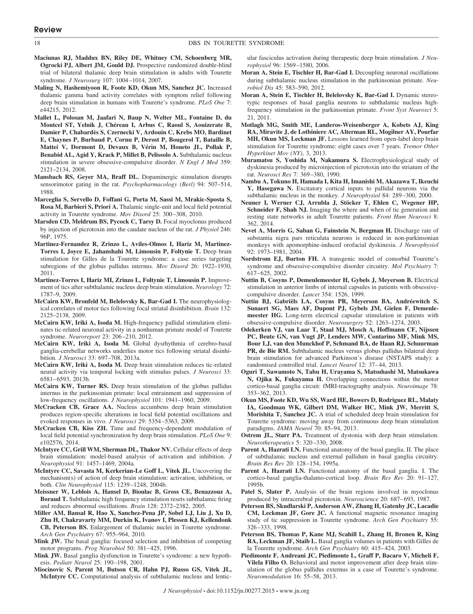- **Maciunas RJ, Maddux BN, Riley DE, Whitney CM, Schoenberg MR, Ogrocki PJ, Albert JM, Gould DJ.** Prospective randomized double-blind trial of bilateral thalamic deep brain stimulation in adults with Tourette syndrome. *J Neurosurg* 107: 1004 –1014, 2007.
- **Maling N, Hashemiyoon R, Foote KD, Okun MS, Sanchez JC.** Increased thalamic gamma band activity correlates with symptom relief following deep brain stimulation in humans with Tourette's syndrome. *PLoS One* 7: e44215, 2012.
- **Mallet L, Polosan M, Jaafari N, Baup N, Welter ML, Fontaine D, du Montcel ST, Yelnik J, Chéreau I, Arbus C, Raoul S, Aouizerate B, Damier P, Chabardès S, Czernecki V, Ardouin C, Krebs MO, Bardinet E, Chaynes P, Burbaud P, Cornu P, Derost P, Bougerol T, Bataille B, Mattei V, Dormont D, Devaux B, Vérin M, Houeto JL, Pollak P, Benabid AL, Agid Y, Krack P, Millet B, Pelissolo A.** Subthalamic nucleus stimulation in severe obsessive-compulsive disorder. *N Engl J Med* 359: 2121–2134, 2008.
- **Mansbach RS, Geyer MA, Braff DL.** Dopaminergic stimulation disrupts sensorimotor gating in the rat. *Psychopharmacology (Berl)* 94: 507–514, 1988.
- **Marceglia S, Servello D, Foffani G, Porta M, Sassi M, Mrakic-Sposta S, Rosa M, Barbieri S, Priori A.** Thalamic single-unit and local field potential activity in Tourette syndrome. *Mov Disord* 25: 300 –308, 2010.
- **Marsden CD, Meldrum BS, Pycock C, Tarsy D.** Focal myoclonus produced by injection of picrotoxin into the caudate nucleus of the rat. *J Physiol* 246: 96P, 1975.
- **Martinez-Fernandez R, Zrinzo L, Aviles-Olmos I, Hariz M, Martinez-Torres I, Joyce E, Jahanshahi M, Limousin P, Foltynie T.** Deep brain stimulation for Gilles de la Tourette syndrome: a case series targeting subregions of the globus pallidus internus. *Mov Disord* 26: 1922–1930, 2011.
- **Martinez-Torres I, Hariz MI, Zrinzo L, Foltynie T, Limousin P.** Improvement of tics after subthalamic nucleus deep brain stimulation. *Neurology* 72: 1787–9, 2009.
- **McCairn KW, Bronfeld M, Belelovsky K, Bar-Gad I.** The neurophysiological correlates of motor tics following focal striatal disinhibition. *Brain* 132: 2125–2138, 2009.
- **McCairn KW, Iriki A, Isoda M.** High-frequency pallidal stimulation eliminates tic-related neuronal activity in a nonhuman primate model of Tourette syndrome. *Neuroreport* 23: 206 –210, 2012.
- **McCairn KW, Iriki A, Isoda M.** Global dysrhythmia of cerebro-basal ganglia-cerebellar networks underlies motor tics following striatal disinhibition. *J Neurosci* 33: 697–708, 2013a.
- **McCairn KW, Iriki A, Isoda M.** Deep brain stimulation reduces tic-related neural activity via temporal locking with stimulus pulses. *J Neurosci* 33: 6581– 6593, 2013b.
- **McCairn KW, Turner RS.** Deep brain stimulation of the globus pallidus internus in the parkinsonian primate: local entrainment and suppression of low-frequency oscillations. *J Neurophysiol* 101: 1941–1960, 2009.
- **McCracken CB, Grace AA.** Nucleus accumbens deep brain stimulation produces region-specific alterations in local field potential oscillations and evoked responses in vivo. *J Neurosci* 29: 5354 –5363, 2009.
- **McCracken CB, Kiss ZH.** Time and frequency-dependent modulation of local field potential synchronization by deep brain stimulation. *PLoS One* 9: e102576, 2014.
- **McIntyre CC, Grill WM, Sherman DL, Thakor NV.** Cellular effects of deep brain stimulation: model-based analysis of activation and inhibition. *J Neurophysiol* 91: 1457–1469, 2004a.
- **McIntyre CC, Savasta M, Kerkerian-Le Goff L, Vitek JL.** Uncovering the mechanism(s) of action of deep brain stimulation: activation, inhibition, or both. *Clin Neurophysiol* 115: 1239 –1248, 2004b.
- **Meissner W, Leblois A, Hansel D, Bioulac B, Gross CE, Benazzouz A, Boraud T.** Subthalamic high frequency stimulation resets subthalamic firing and reduces abnormal oscillations. *Brain* 128: 2372–2382, 2005.
- **Miller AM, Bansal R, Hao X, Sanchez-Pena JP, Sobel LJ, Liu J, Xu D, Zhu H, Chakravarty MM, Durkin K, Ivanov I, Plessen KJ, Kellendonk CB, Peterson BS.** Enlargement of thalamic nuclei in Tourette syndrome. *Arch Gen Psychiatry* 67: 955–964, 2010.
- **Mink JW.** The basal ganglia: focused selection and inhibition of competing motor programs. *Prog Neurobiol* 50: 381– 425, 1996.
- **Mink JW.** Basal ganglia dysfunction in Tourette's syndrome: a new hypothesis. *Pediatr Neurol* 25: 190 –198, 2001.
- **Miocinovic S, Parent M, Butson CR, Hahn PJ, Russo GS, Vitek JL, McIntyre CC.** Computational analysis of subthalamic nucleus and lentic-

ular fasciculus activation during therapeutic deep brain stimulation. *J Neurophysiol* 96: 1569 –1580, 2006.

- **Moran A, Stein E, Tischler H, Bar-Gad I.** Decoupling neuronal oscillations during subthalamic nucleus stimulation in the parkinsonian primate. *Neurobiol Dis* 45: 583–590, 2012.
- **Moran A, Stein E, Tischler H, Belelovsky K, Bar-Gad I.** Dynamic stereotypic responses of basal ganglia neurons to subthalamic nucleus highfrequency stimulation in the parkinsonian primate. *Front Syst Neurosci* 5: 21, 2011.
- **Motlagh MG, Smith ME, Landeros-Weisenberger A, Kobets AJ, King RA, Miravite J, de Lotbiniere AC, Alterman RL, Mogilner AY, Pourfar MH, Okun MS, Leckman JF.** Lessons learned from open-label deep brain stimulation for Tourette syndrome: eight cases over 7 years. *Tremor Other Hyperkinet Mov (NY)*, 3, 2013.
- **Muramatsu S, Yoshida M, Nakamura S.** Electrophysiological study of dyskinesia produced by microinjection of picrotoxin into the striatum of the rat. *Neurosci Res* 7: 369 –380, 1990.
- **Nambu A, Tokuno H, Hamada I, Kita H, Imanishi M, Akazawa T, Ikeuchi Y, Hasegawa N.** Excitatory cortical inputs to pallidal neurons via the subthalamic nucleus in the monkey. *J Neurophysiol* 84: 289 –300, 2000.
- **Neuner I, Werner CJ, Arrubla J, Stöcker T, Ehlen C, Wegener HP, Schneider F, Shah NJ.** Imaging the where and when of tic generation and resting state networks in adult Tourette patients. *Front Hum Neurosci* 8: 362, 2014.
- **Nevet A, Morris G, Saban G, Fainstein N, Bergman H.** Discharge rate of substantia nigra pars reticulata neurons is reduced in non-parkinsonian monkeys with apomorphine-induced orofacial dyskinesia. *J Neurophysiol* 92: 1973–1981, 2004.
- **Nordstrom EJ, Burton FH.** A transgenic model of comorbid Tourette's syndrome and obsessive-compulsive disorder circuitry. *Mol Psychiatry* 7: 617– 625, 2002.
- **Nuttin B, Cosyns P, Demeulemeester H, Gybels J, Meyerson B.** Electrical stimulation in anterior limbs of internal capsules in patients with obsessivecompulsive disorder. *Lancet* 354: 1526, 1999.
- **Nuttin BJ, Gabriëls LA, Cosyns PR, Meyerson BA, Andréewitch S, Sunaert SG, Maes AF, Dupont PJ, Gybels JM, Gielen F, Demeulemeester HG.** Long-term electrical capsular stimulation in patients with obsessive-compulsive disorder. *Neurosurgery* 52: 1263–1274, 2003.
- **Odekerken VJ, van Laar T, Staal MJ, Mosch A, Hoffmann CF, Nijssen PC, Beute GN, van Vugt JP, Lenders MW, Contarino MF, Mink MS, Bour LJ, van den Munckhof P, Schmand BA, de Haan RJ, Schuurman PR, de Bie RM.** Subthalamic nucleus versus globus pallidus bilateral deep brain stimulation for advanced Parkinson's disease (NSTAPS study): a randomised controlled trial. *Lancet Neurol* 12: 37– 44, 2013.
- **Oguri T, Sawamoto N, Tabu H, Urayama S, Matsuhashi M, Matsukawa N, Ojika K, Fukuyama H.** Overlapping connections within the motor cortico-basal ganglia circuit: fMRI-tractography analysis. *Neuroimage* 78: 353–362, 2013.
- **Okun MS, Foote KD, Wu SS, Ward HE, Bowers D, Rodriguez RL, Malaty IA, Goodman WK, Gilbert DM, Walker HC, Mink JW, Merritt S, Morishita T, Sanchez JC.** A trial of scheduled deep brain stimulation for Tourette syndrome: moving away from continuous deep brain stimulation paradigms. *JAMA Neurol* 70: 85–94, 2013.
- **Ostrem JL, Starr PA.** Treatment of dystonia with deep brain stimulation. *Neurotherapeutics* 5: 320 –330, 2008.
- Parent A, Hazrati LN. Functional anatomy of the basal ganglia. II. The place of subthalamic nucleus and external pallidum in basal ganglia circuitry. *Brain Res Rev* 20: 128 –154, 1995a.
- **Parent A, Hazrati LN.** Functional anatomy of the basal ganglia. I. The cortico-basal ganglia-thalamo-cortical loop. *Brain Res Rev* 20: 91–127, 1995b.
- Patel S, Slater P. Analysis of the brain regions involved in myoclonus produced by intracerebral picrotoxin. *Neuroscience* 20: 687-693, 1987.
- **Peterson BS, Skudlarski P, Anderson AW, Zhang H, Gatenby JC, Lacadie CM, Leckman JF, Gore JC.** A functional magnetic resonance imaging study of tic suppression in Tourette syndrome. *Arch Gen Psychiatry* 55: 326 –333, 1998.
- **Peterson BS, Thomas P, Kane MJ, Scahill L, Zhang H, Bronen R, King RA, Leckman JF, Staib L.** Basal ganglia volumes in patients with Gilles de la Tourette syndrome. *Arch Gen Psychiatry* 60: 415– 424, 2003.
- **Piedimonte F, Andreani JC, Piedimonte L, Graff P, Bacaro V, Micheli F, Vilela Filho O.** Behavioral and motor improvement after deep brain stimulation of the globus pallidus externus in a case of Tourette's syndrome. *Neuromodulation* 16: 55–58, 2013.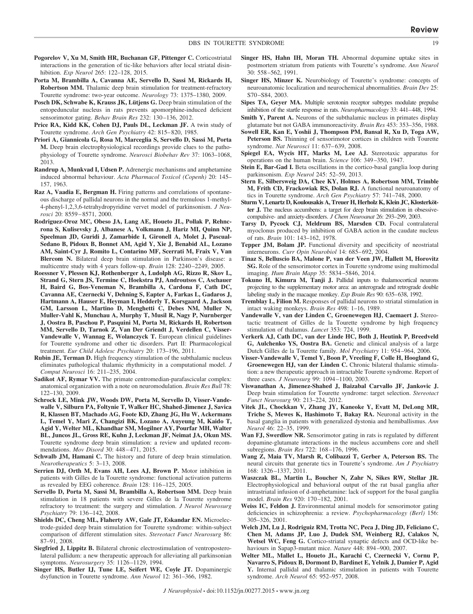**Review**

- **Pogorelov V, Xu M, Smith HR, Buchanan GF, Pittenger C.** Corticostriatal interactions in the generation of tic-like behaviors after local striatal disinhibition. *Exp Neurol* 265: 122–128, 2015.
- **Porta M, Brambilla A, Cavanna AE, Servello D, Sassi M, Rickards H, Robertson MM.** Thalamic deep brain stimulation for treatment-refractory Tourette syndrome: two-year outcome. *Neurology* 73: 1375–1380, 2009.
- **Posch DK, Schwabe K, Krauss JK, Lütjens G.** Deep brain stimulation of the entopeduncular nucleus in rats prevents apomorphine-induced deficient sensorimotor gating. *Behav Brain Res* 232: 130 –136, 2012.
- **Price RA, Kidd KK, Cohen DJ, Pauls DL, Leckman JF.** A twin study of Tourette syndrome. *Arch Gen Psychiatry* 42: 815– 820, 1985.
- **Priori A, Giannicola G, Rosa M, Marceglia S, Servello D, Sassi M, Porta M.** Deep brain electrophysiological recordings provide clues to the pathophysiology of Tourette syndrome. *Neurosci Biobehav Rev* 37: 1063–1068, 2013.
- **Randrup A, Munkvad I, Udsen P.** Adrenergic mechanisms and amphetamine induced abnormal behaviour. *Acta Pharmacol Toxicol (Copenh)* 20: 145– 157, 1963.
- **Raz A, Vaadia E, Bergman H.** Firing patterns and correlations of spontaneous discharge of pallidal neurons in the normal and the tremulous 1-methyl-4-phenyl-1,2,3,6-tetrahydropyridine vervet model of parkinsonism. *J Neurosci* 20: 8559 – 8571, 2000.
- **Rodriguez-Oroz MC, Obeso JA, Lang AE, Houeto JL, Pollak P, Rehncrona S, Kulisevsky J, Albanese A, Volkmann J, Hariz MI, Quinn NP, Speelman JD, Guridi J, Zamarbide I, Gironell A, Molet J, Pascual-Sedano B, Pidoux B, Bonnet AM, Agid Y, Xie J, Benabid AL, Lozano AM, Saint-Cyr J, Romito L, Contarino MF, Scerrati M, Fraix V, Van Blercom N.** Bilateral deep brain stimulation in Parkinson's disease: a multicentre study with 4 years follow-up. *Brain* 128: 2240 –2249, 2005.
- **Roessner V, Plessen KJ, Rothenberger A, Ludolph AG, Rizzo R, Skov L, Strand G, Stern JS, Termine C, Hoekstra PJ, Androutsos C, Aschauer H, Baird G, Bos-Veneman N, Brambilla A, Cardona F, Cath DC, Cavanna AE, Czernecki V, Dehning S, Eapter A, Farkas L, Gadaros J, Hartmann A, Hauser E, Heyman I, Hedderly T, Korsgaard A, Jackson GM, Larsson L, Martino D, Menghetti C, Debes NM, Muller N, Muller-Vahl K, Munchau A, Murphy T, Musil R, Nagy P, Nurnberger J, Oostra B, Paschou P, Pasquini M, Porta M, Rickards H, Robertson MM, Servello D, Tarnok Z, Van Der Griendt J, Verdellen C, Visser-Vandewalle V, Wannag E, Wolanczyck T.** European clinical guidelines for Tourette syndrome and other tic disorders. Part II: Pharmacological treatment. *Eur Child Adolesc Psychiatry* 20: 173–196, 2011.
- **Rubin JE, Terman D.** High frequency stimulation of the subthalamic nucleus eliminates pathological thalamic rhythmicity in a computational model. *J Comput Neurosci* 16: 211–235, 2004.
- **Sadikot AF, Rymar VV.** The primate centromedian-parafascicular complex: anatomical organization with a note on neuromodulation. *Brain Res Bull* 78: 122–130, 2009.
- **Schrock LE, Mink JW, Woods DW, Porta M, Servello D, Visser-Vandewalle V, Silburn PA, Foltynie T, Walker HC, Shahed-Jimenez J, Savica R, Klassen BT, Machado AG, Foote KD, Zhang JG, Hu W, Ackermans L, Temel Y, Mari Z, Changizi BK, Lozano A, Auyeung M, Kaido T, Agid Y, Welter ML, Khandhar SM, Mogilner AY, Pourfar MH, Walter BL, Juncos JL, Gross RE, Kuhn J, Leckman JF, Neimat JA, Okun MS.** Tourette syndrome deep brain stimulation: a review and updated recommendations. *Mov Disord* 30: 448 – 471, 2015.
- Schwalb JM, Hamani C. The history and future of deep brain stimulation. *Neurotherapeutics* 5: 3–13, 2008.
- **Serrien DJ, Orth M, Evans AH, Lees AJ, Brown P.** Motor inhibition in patients with Gilles de la Tourette syndrome: functional activation patterns as revealed by EEG coherence. *Brain* 128: 116 –125, 2005.
- **Servello D, Porta M, Sassi M, Brambilla A, Robertson MM.** Deep brain stimulation in 18 patients with severe Gilles de la Tourette syndrome refractory to treatment: the surgery and stimulation. *J Neurol Neurosurg Psychiatry* 79: 136 –142, 2008.
- **Shields DC, Cheng ML, Flaherty AW, Gale JT, Eskandar EN.** Microelectrode-guided deep brain stimulation for Tourette syndrome: within-subject comparison of different stimulation sites. *Stereotact Funct Neurosurg* 86: 87–91, 2008.
- **Siegfried J, Lippitz B.** Bilateral chronic electrostimulation of ventroposterolateral pallidum: a new therapeutic approach for alleviating all parkinsonian symptoms. *Neurosurgery* 35: 1126 –1129, 1994.
- **Singer HS, Butler IJ, Tune LE, Seifert WE, Coyle JT.** Dopaminergic dsyfunction in Tourette syndrome. *Ann Neurol* 12: 361–366, 1982.
- **Singer HS, Hahn IH, Moran TH.** Abnormal dopamine uptake sites in postmortem striatum from patients with Tourette's syndrome. *Ann Neurol* 30: 558 –562, 1991.
- **Singer HS, Minzer K.** Neurobiology of Tourette's syndrome: concepts of neuroanatomic localization and neurochemical abnormalities. *Brain Dev* 25: S70 –S84, 2003.
- **Sipes TA, Geyer MA.** Multiple serotonin receptor subtypes modulate prepulse inhibition of the startle response in rats. *Neuropharmacology* 33: 441–448, 1994.
- **Smith Y, Parent A.** Neurons of the subthalamic nucleus in primates display glutamate but not GABA immunoreactivity. *Brain Res* 453: 353–356, 1988.
- **Sowell ER, Kan E, Yoshii J, Thompson PM, Bansal R, Xu D, Toga AW, Peterson BS.** Thinning of sensorimotor cortices in children with Tourette syndrome. *Nat Neurosci* 11: 637– 639, 2008.
- **Spiegel EA, Wycis HT, Marks M, Lee AJ.** Stereotaxic apparatus for operations on the human brain. *Science* 106: 349 –350, 1947.
- **Stein E, Bar-Gad I.** Beta oscillations in the cortico-basal ganglia loop during parkinsonism. *Exp Neurol* 245: 52–59, 2013.
- **Stern E, Silbersweig DA, Chee KY, Holmes A, Robertson MM, Trimble M, Frith CD, Frackowiak RS, Dolan RJ.** A functional neuroanatomy of tics in Tourette syndrome. *Arch Gen Psychiatry* 57: 741–748, 2000.
- **Sturm V, Lenartz D, Koulousakis A, Treuer H, Herholz K, Klein JC, Klosterkötter J.** The nucleus accumbens: a target for deep brain stimulation in obsessivecompulsive- and anxiety-disorders. *J Chem Neuroanat* 26: 293–299, 2003.
- **Tarsy D, Pycock CJ, Meldrum BS, Marsden CD.** Focal contralateral myoclonus produced by inhibition of GABA action in the caudate nucleus of rats. *Brain* 101: 143–162, 1978.
- **Tepper JM, Bolam JP.** Functional diversity and specificity of neostriatal interneurons. *Curr Opin Neurobiol* 14: 685– 692, 2004.
- **Tinaz S, Belluscio BA, Malone P, van der Veen JW, Hallett M, Horovitz SG.** Role of the sensorimotor cortex in Tourette syndrome using multimodal imaging. *Hum Brain Mapp* 35: 5834 –5846, 2014.
- **Tokuno H, Kimura M, Tanji J.** Pallidal inputs to thalamocortical neurons projecting to the supplementary motor area: an anterograde and retrograde double labeling study in the macaque monkey. *Exp Brain Res* 90: 635–638, 1992.
- **Tremblay L, Filion M.** Responses of pallidal neurons to striatal stimulation in intact waking monkeys. *Brain Res* 498: 1–16, 1989.
- **Vandewalle V, van der Linden C, Groenewegen HJ, Caemaert J.** Stereotactic treatment of Gilles de la Tourette syndrome by high frequency stimulation of thalamus. *Lancet* 353: 724, 1999.
- **Verkerk AJ, Cath DC, van der Linde HC, Both J, Heutink P, Breedveld G, Aulchenko YS, Oostra BA.** Genetic and clinical analysis of a large Dutch Gilles de la Tourette family. *Mol Psychiatry* 11: 954 –964, 2006.
- **Visser-Vandewalle V, Temel Y, Boon P, Vreeling F, Colle H, Hoogland G, Groenewegen HJ, van der Linden C.** Chronic bilateral thalamic stimulation: a new therapeutic approach in intractable Tourette syndrome. Report of three cases. *J Neurosurg* 99: 1094 –1100, 2003.
- **Viswanathan A, Jimenez-Shahed J, Baizabal Carvallo JF, Jankovic J.** Deep brain stimulation for Tourette syndrome: target selection. *Stereotact Funct Neurosurg* 90: 213–224, 2012.
- **Vitek JL, Chockkan V, Zhang JY, Kaneoke Y, Evatt M, DeLong MR, Triche S, Mewes K, Hashimoto T, Bakay RA.** Neuronal activity in the basal ganglia in patients with generalized dystonia and hemiballismus. *Ann Neurol* 46: 22–35, 1999.
- **Wan FJ, Swerdlow NR.** Sensorimotor gating in rats is regulated by different dopamine-glutamate interactions in the nucleus accumbens core and shell subregions. *Brain Res* 722: 168 –176, 1996.
- **Wang Z, Maia TV, Marsh R, Colibazzi T, Gerber A, Peterson BS.** The neural circuits that generate tics in Tourette's syndrome. *Am J Psychiatry* 168: 1326 –1337, 2011.
- **Waszczak BL, Martin L, Boucher N, Zahr N, Sikes RW, Stellar JR.** Electrophysiological and behavioral output of the rat basal ganglia after intrastriatal infusion of d-amphetamine: lack of support for the basal ganglia model. *Brain Res* 920: 170 –182, 2001.
- **Weiss IC, Feldon J.** Environmental animal models for sensorimotor gating deficiencies in schizophrenia: a review. *Psychopharmacology (Berl)* 156: 305–326, 2001.
- **Welch JM, Lu J, Rodriguiz RM, Trotta NC, Peca J, Ding JD, Feliciano C, Chen M, Adams JP, Luo J, Dudek SM, Weinberg RJ, Calakos N, Wetsel WC, Feng G.** Cortico-striatal synaptic defects and OCD-like behaviours in Sapap3-mutant mice. *Nature* 448: 894 –900, 2007.
- **Welter ML, Mallet L, Houeto JL, Karachi C, Czernecki V, Cornu P, Navarro S, Pidoux B, Dormont D, Bardinet E, Yelnik J, Damier P, Agid Y.** Internal pallidal and thalamic stimulation in patients with Tourette syndrome. *Arch Neurol* 65: 952–957, 2008.